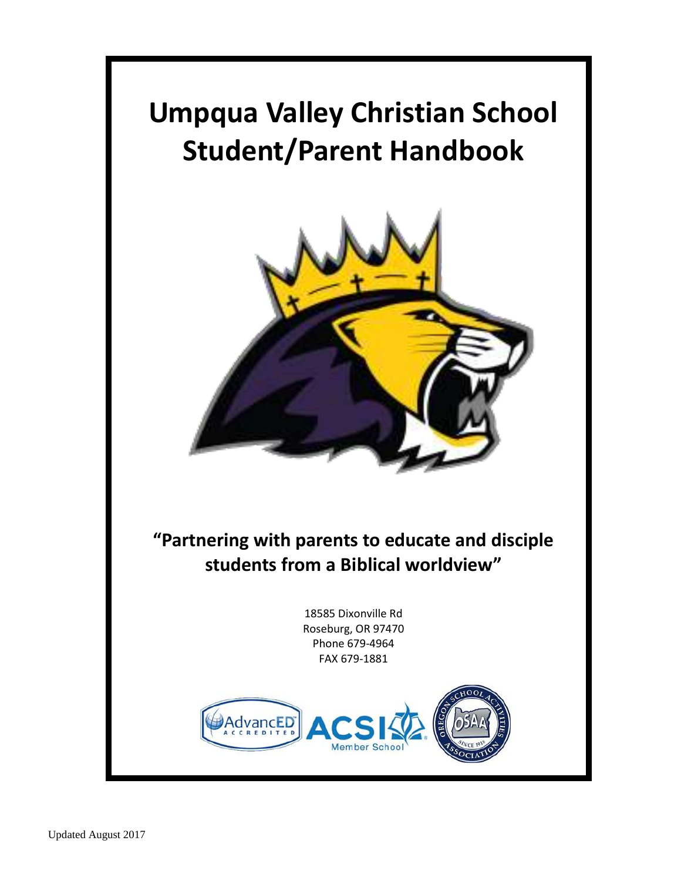# **Umpqua Valley Christian School Student/Parent Handbook**



**"Partnering with parents to educate and disciple students from a Biblical worldview"**

> 18585 Dixonville Rd Roseburg, OR 97470 Phone 679-4964 FAX 679-1881

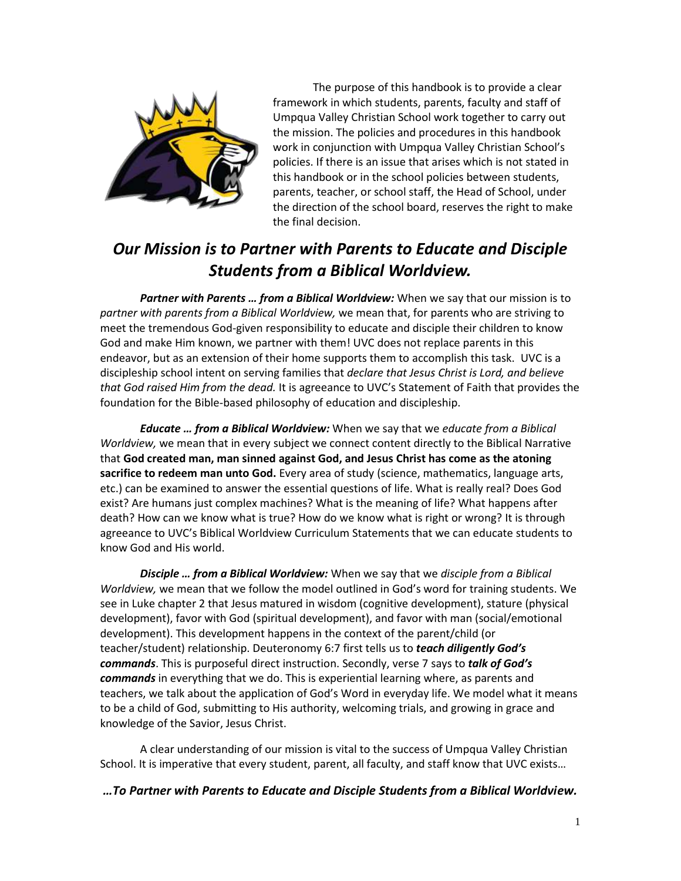

The purpose of this handbook is to provide a clear framework in which students, parents, faculty and staff of Umpqua Valley Christian School work together to carry out the mission. The policies and procedures in this handbook work in conjunction with Umpqua Valley Christian School's policies. If there is an issue that arises which is not stated in this handbook or in the school policies between students, parents, teacher, or school staff, the Head of School, under the direction of the school board, reserves the right to make the final decision.

# *Our Mission is to Partner with Parents to Educate and Disciple Students from a Biblical Worldview.*

*Partner with Parents … from a Biblical Worldview:* When we say that our mission is to *partner with parents from a Biblical Worldview,* we mean that, for parents who are striving to meet the tremendous God-given responsibility to educate and disciple their children to know God and make Him known, we partner with them! UVC does not replace parents in this endeavor, but as an extension of their home supports them to accomplish this task. UVC is a discipleship school intent on serving families that *declare that Jesus Christ is Lord, and believe that God raised Him from the dead.* It is agreeance to UVC's Statement of Faith that provides the foundation for the Bible-based philosophy of education and discipleship.

*Educate … from a Biblical Worldview:* When we say that we *educate from a Biblical Worldview,* we mean that in every subject we connect content directly to the Biblical Narrative that **God created man, man sinned against God, and Jesus Christ has come as the atoning sacrifice to redeem man unto God.** Every area of study (science, mathematics, language arts, etc.) can be examined to answer the essential questions of life. What is really real? Does God exist? Are humans just complex machines? What is the meaning of life? What happens after death? How can we know what is true? How do we know what is right or wrong? It is through agreeance to UVC's Biblical Worldview Curriculum Statements that we can educate students to know God and His world.

*Disciple … from a Biblical Worldview:* When we say that we *disciple from a Biblical Worldview,* we mean that we follow the model outlined in God's word for training students. We see in Luke chapter 2 that Jesus matured in wisdom (cognitive development), stature (physical development), favor with God (spiritual development), and favor with man (social/emotional development). This development happens in the context of the parent/child (or teacher/student) relationship. Deuteronomy 6:7 first tells us to *teach diligently God's commands*. This is purposeful direct instruction. Secondly, verse 7 says to *talk of God's commands* in everything that we do. This is experiential learning where, as parents and teachers, we talk about the application of God's Word in everyday life. We model what it means to be a child of God, submitting to His authority, welcoming trials, and growing in grace and knowledge of the Savior, Jesus Christ.

A clear understanding of our mission is vital to the success of Umpqua Valley Christian School. It is imperative that every student, parent, all faculty, and staff know that UVC exists…

*…To Partner with Parents to Educate and Disciple Students from a Biblical Worldview.*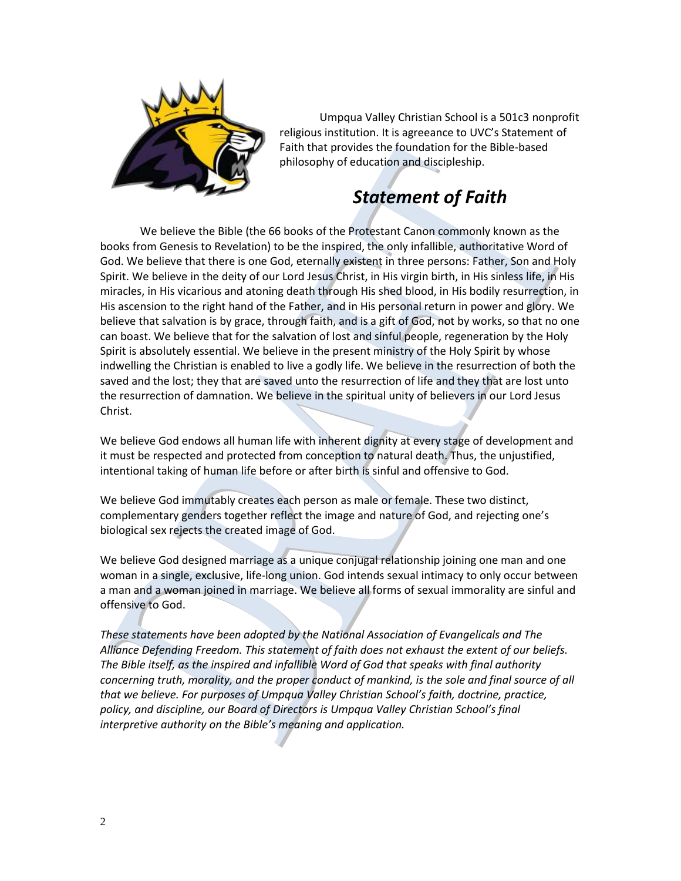

Umpqua Valley Christian School is a 501c3 nonprofit religious institution. It is agreeance to UVC's Statement of Faith that provides the foundation for the Bible-based philosophy of education and discipleship.

# *Statement of Faith*

We believe the Bible (the 66 books of the Protestant Canon commonly known as the books from Genesis to Revelation) to be the inspired, the only infallible, authoritative Word of God. We believe that there is one God, eternally existent in three persons: Father, Son and Holy Spirit. We believe in the deity of our Lord Jesus Christ, in His virgin birth, in His sinless life, in His miracles, in His vicarious and atoning death through His shed blood, in His bodily resurrection, in His ascension to the right hand of the Father, and in His personal return in power and glory. We believe that salvation is by grace, through faith, and is a gift of God, not by works, so that no one can boast. We believe that for the salvation of lost and sinful people, regeneration by the Holy Spirit is absolutely essential. We believe in the present ministry of the Holy Spirit by whose indwelling the Christian is enabled to live a godly life. We believe in the resurrection of both the saved and the lost; they that are saved unto the resurrection of life and they that are lost unto the resurrection of damnation. We believe in the spiritual unity of believers in our Lord Jesus Christ.

We believe God endows all human life with inherent dignity at every stage of development and it must be respected and protected from conception to natural death. Thus, the unjustified, intentional taking of human life before or after birth is sinful and offensive to God.

We believe God immutably creates each person as male or female. These two distinct, complementary genders together reflect the image and nature of God, and rejecting one's biological sex rejects the created image of God.

We believe God designed marriage as a unique conjugal relationship joining one man and one woman in a single, exclusive, life-long union. God intends sexual intimacy to only occur between a man and a woman joined in marriage. We believe all forms of sexual immorality are sinful and offensive to God.

*These statements have been adopted by the National Association of Evangelicals and The Alliance Defending Freedom. This statement of faith does not exhaust the extent of our beliefs. The Bible itself, as the inspired and infallible Word of God that speaks with final authority concerning truth, morality, and the proper conduct of mankind, is the sole and final source of all that we believe. For purposes of Umpqua Valley Christian School's faith, doctrine, practice, policy, and discipline, our Board of Directors is Umpqua Valley Christian School's final interpretive authority on the Bible's meaning and application.*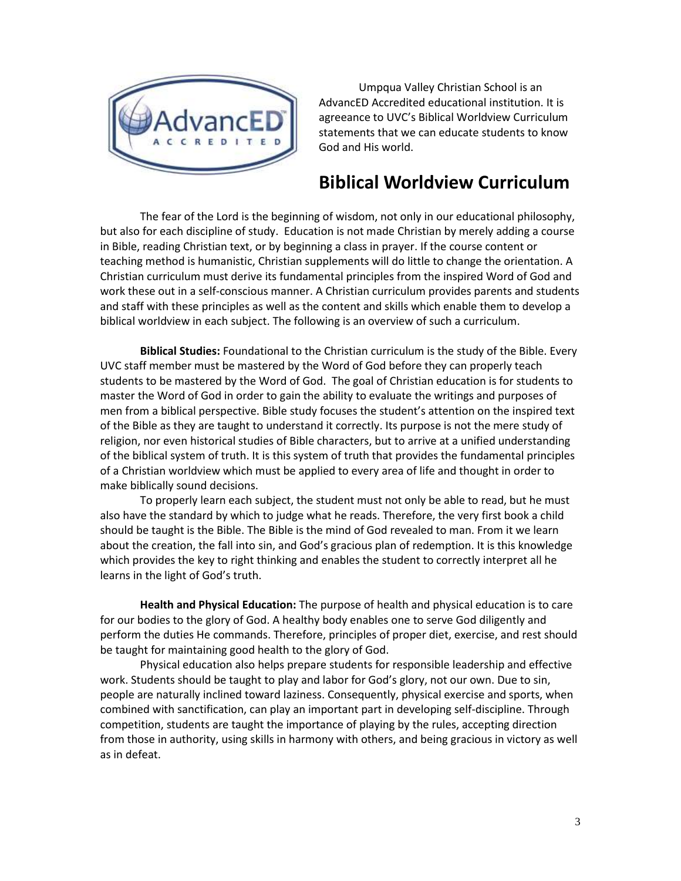

Umpqua Valley Christian School is an AdvancED Accredited educational institution. It is agreeance to UVC's Biblical Worldview Curriculum statements that we can educate students to know God and His world.

# **Biblical Worldview Curriculum**

The fear of the Lord is the beginning of wisdom, not only in our educational philosophy, but also for each discipline of study. Education is not made Christian by merely adding a course in Bible, reading Christian text, or by beginning a class in prayer. If the course content or teaching method is humanistic, Christian supplements will do little to change the orientation. A Christian curriculum must derive its fundamental principles from the inspired Word of God and work these out in a self-conscious manner. A Christian curriculum provides parents and students and staff with these principles as well as the content and skills which enable them to develop a biblical worldview in each subject. The following is an overview of such a curriculum.

**Biblical Studies:** Foundational to the Christian curriculum is the study of the Bible. Every UVC staff member must be mastered by the Word of God before they can properly teach students to be mastered by the Word of God. The goal of Christian education is for students to master the Word of God in order to gain the ability to evaluate the writings and purposes of men from a biblical perspective. Bible study focuses the student's attention on the inspired text of the Bible as they are taught to understand it correctly. Its purpose is not the mere study of religion, nor even historical studies of Bible characters, but to arrive at a unified understanding of the biblical system of truth. It is this system of truth that provides the fundamental principles of a Christian worldview which must be applied to every area of life and thought in order to make biblically sound decisions.

To properly learn each subject, the student must not only be able to read, but he must also have the standard by which to judge what he reads. Therefore, the very first book a child should be taught is the Bible. The Bible is the mind of God revealed to man. From it we learn about the creation, the fall into sin, and God's gracious plan of redemption. It is this knowledge which provides the key to right thinking and enables the student to correctly interpret all he learns in the light of God's truth.

**Health and Physical Education:** The purpose of health and physical education is to care for our bodies to the glory of God. A healthy body enables one to serve God diligently and perform the duties He commands. Therefore, principles of proper diet, exercise, and rest should be taught for maintaining good health to the glory of God.

Physical education also helps prepare students for responsible leadership and effective work. Students should be taught to play and labor for God's glory, not our own. Due to sin, people are naturally inclined toward laziness. Consequently, physical exercise and sports, when combined with sanctification, can play an important part in developing self-discipline. Through competition, students are taught the importance of playing by the rules, accepting direction from those in authority, using skills in harmony with others, and being gracious in victory as well as in defeat.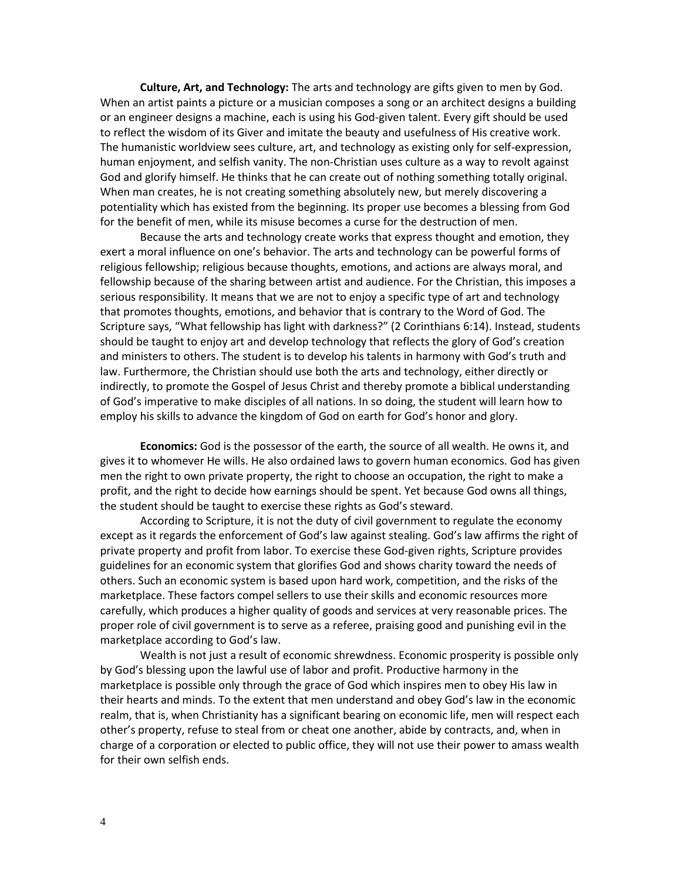**Culture, Art, and Technology:** The arts and technology are gifts given to men by God. When an artist paints a picture or a musician composes a song or an architect designs a building or an engineer designs a machine, each is using his God-given talent. Every gift should be used to reflect the wisdom of its Giver and imitate the beauty and usefulness of His creative work. The humanistic worldview sees culture, art, and technology as existing only for self-expression, human enjoyment, and selfish vanity. The non-Christian uses culture as a way to revolt against God and glorify himself. He thinks that he can create out of nothing something totally original. When man creates, he is not creating something absolutely new, but merely discovering a potentiality which has existed from the beginning. Its proper use becomes a blessing from God for the benefit of men, while its misuse becomes a curse for the destruction of men.

Because the arts and technology create works that express thought and emotion, they exert a moral influence on one's behavior. The arts and technology can be powerful forms of religious fellowship; religious because thoughts, emotions, and actions are always moral, and fellowship because of the sharing between artist and audience. For the Christian, this imposes a serious responsibility. It means that we are not to enjoy a specific type of art and technology that promotes thoughts, emotions, and behavior that is contrary to the Word of God. The Scripture says, "What fellowship has light with darkness?" (2 Corinthians 6:14). Instead, students should be taught to enjoy art and develop technology that reflects the glory of God's creation and ministers to others. The student is to develop his talents in harmony with God's truth and law. Furthermore, the Christian should use both the arts and technology, either directly or indirectly, to promote the Gospel of Jesus Christ and thereby promote a biblical understanding of God's imperative to make disciples of all nations. In so doing, the student will learn how to employ his skills to advance the kingdom of God on earth for God's honor and glory.

**Economics:** God is the possessor of the earth, the source of all wealth. He owns it, and gives it to whomever He wills. He also ordained laws to govern human economics. God has given men the right to own private property, the right to choose an occupation, the right to make a profit, and the right to decide how earnings should be spent. Yet because God owns all things, the student should be taught to exercise these rights as God's steward.

According to Scripture, it is not the duty of civil government to regulate the economy except as it regards the enforcement of God's law against stealing. God's law affirms the right of private property and profit from labor. To exercise these God-given rights, Scripture provides guidelines for an economic system that glorifies God and shows charity toward the needs of others. Such an economic system is based upon hard work, competition, and the risks of the marketplace. These factors compel sellers to use their skills and economic resources more carefully, which produces a higher quality of goods and services at very reasonable prices. The proper role of civil government is to serve as a referee, praising good and punishing evil in the marketplace according to God's law.

Wealth is not just a result of economic shrewdness. Economic prosperity is possible only by God's blessing upon the lawful use of labor and profit. Productive harmony in the marketplace is possible only through the grace of God which inspires men to obey His law in their hearts and minds. To the extent that men understand and obey God's law in the economic realm, that is, when Christianity has a significant bearing on economic life, men will respect each other's property, refuse to steal from or cheat one another, abide by contracts, and, when in charge of a corporation or elected to public office, they will not use their power to amass wealth for their own selfish ends.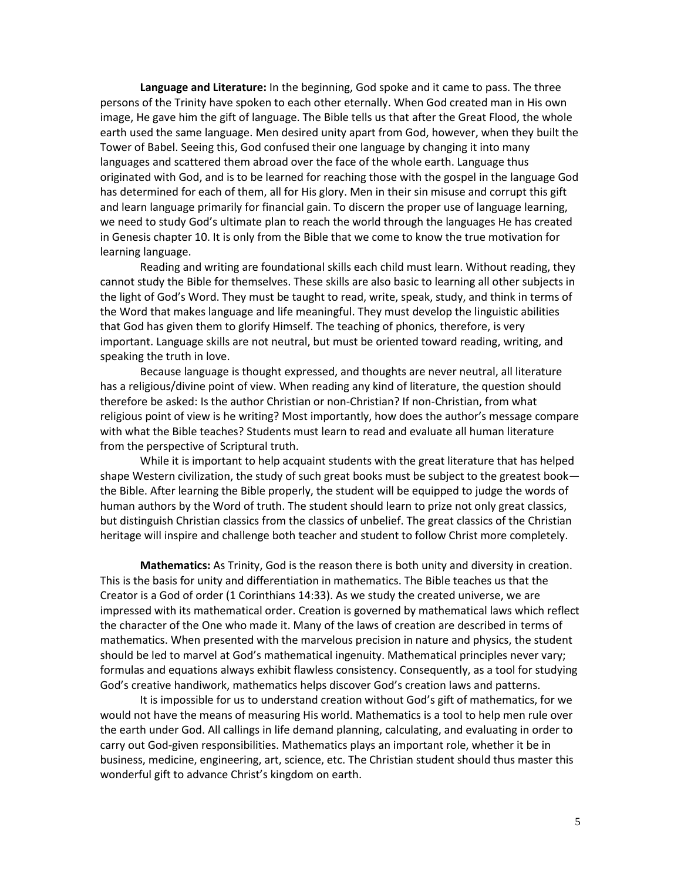**Language and Literature:** In the beginning, God spoke and it came to pass. The three persons of the Trinity have spoken to each other eternally. When God created man in His own image, He gave him the gift of language. The Bible tells us that after the Great Flood, the whole earth used the same language. Men desired unity apart from God, however, when they built the Tower of Babel. Seeing this, God confused their one language by changing it into many languages and scattered them abroad over the face of the whole earth. Language thus originated with God, and is to be learned for reaching those with the gospel in the language God has determined for each of them, all for His glory. Men in their sin misuse and corrupt this gift and learn language primarily for financial gain. To discern the proper use of language learning, we need to study God's ultimate plan to reach the world through the languages He has created in Genesis chapter 10. It is only from the Bible that we come to know the true motivation for learning language.

Reading and writing are foundational skills each child must learn. Without reading, they cannot study the Bible for themselves. These skills are also basic to learning all other subjects in the light of God's Word. They must be taught to read, write, speak, study, and think in terms of the Word that makes language and life meaningful. They must develop the linguistic abilities that God has given them to glorify Himself. The teaching of phonics, therefore, is very important. Language skills are not neutral, but must be oriented toward reading, writing, and speaking the truth in love.

Because language is thought expressed, and thoughts are never neutral, all literature has a religious/divine point of view. When reading any kind of literature, the question should therefore be asked: Is the author Christian or non-Christian? If non-Christian, from what religious point of view is he writing? Most importantly, how does the author's message compare with what the Bible teaches? Students must learn to read and evaluate all human literature from the perspective of Scriptural truth.

While it is important to help acquaint students with the great literature that has helped shape Western civilization, the study of such great books must be subject to the greatest book the Bible. After learning the Bible properly, the student will be equipped to judge the words of human authors by the Word of truth. The student should learn to prize not only great classics, but distinguish Christian classics from the classics of unbelief. The great classics of the Christian heritage will inspire and challenge both teacher and student to follow Christ more completely.

**Mathematics:** As Trinity, God is the reason there is both unity and diversity in creation. This is the basis for unity and differentiation in mathematics. The Bible teaches us that the Creator is a God of order (1 Corinthians 14:33). As we study the created universe, we are impressed with its mathematical order. Creation is governed by mathematical laws which reflect the character of the One who made it. Many of the laws of creation are described in terms of mathematics. When presented with the marvelous precision in nature and physics, the student should be led to marvel at God's mathematical ingenuity. Mathematical principles never vary; formulas and equations always exhibit flawless consistency. Consequently, as a tool for studying God's creative handiwork, mathematics helps discover God's creation laws and patterns.

It is impossible for us to understand creation without God's gift of mathematics, for we would not have the means of measuring His world. Mathematics is a tool to help men rule over the earth under God. All callings in life demand planning, calculating, and evaluating in order to carry out God-given responsibilities. Mathematics plays an important role, whether it be in business, medicine, engineering, art, science, etc. The Christian student should thus master this wonderful gift to advance Christ's kingdom on earth.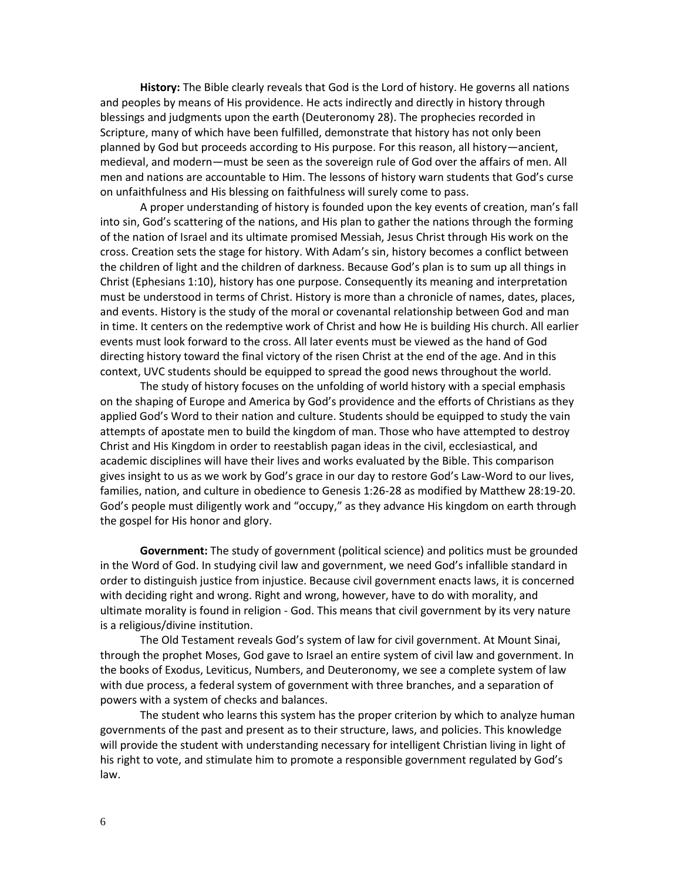**History:** The Bible clearly reveals that God is the Lord of history. He governs all nations and peoples by means of His providence. He acts indirectly and directly in history through blessings and judgments upon the earth (Deuteronomy 28). The prophecies recorded in Scripture, many of which have been fulfilled, demonstrate that history has not only been planned by God but proceeds according to His purpose. For this reason, all history—ancient, medieval, and modern—must be seen as the sovereign rule of God over the affairs of men. All men and nations are accountable to Him. The lessons of history warn students that God's curse on unfaithfulness and His blessing on faithfulness will surely come to pass.

A proper understanding of history is founded upon the key events of creation, man's fall into sin, God's scattering of the nations, and His plan to gather the nations through the forming of the nation of Israel and its ultimate promised Messiah, Jesus Christ through His work on the cross. Creation sets the stage for history. With Adam's sin, history becomes a conflict between the children of light and the children of darkness. Because God's plan is to sum up all things in Christ (Ephesians 1:10), history has one purpose. Consequently its meaning and interpretation must be understood in terms of Christ. History is more than a chronicle of names, dates, places, and events. History is the study of the moral or covenantal relationship between God and man in time. It centers on the redemptive work of Christ and how He is building His church. All earlier events must look forward to the cross. All later events must be viewed as the hand of God directing history toward the final victory of the risen Christ at the end of the age. And in this context, UVC students should be equipped to spread the good news throughout the world.

The study of history focuses on the unfolding of world history with a special emphasis on the shaping of Europe and America by God's providence and the efforts of Christians as they applied God's Word to their nation and culture. Students should be equipped to study the vain attempts of apostate men to build the kingdom of man. Those who have attempted to destroy Christ and His Kingdom in order to reestablish pagan ideas in the civil, ecclesiastical, and academic disciplines will have their lives and works evaluated by the Bible. This comparison gives insight to us as we work by God's grace in our day to restore God's Law-Word to our lives, families, nation, and culture in obedience to Genesis 1:26-28 as modified by Matthew 28:19-20. God's people must diligently work and "occupy," as they advance His kingdom on earth through the gospel for His honor and glory.

**Government:** The study of government (political science) and politics must be grounded in the Word of God. In studying civil law and government, we need God's infallible standard in order to distinguish justice from injustice. Because civil government enacts laws, it is concerned with deciding right and wrong. Right and wrong, however, have to do with morality, and ultimate morality is found in religion - God. This means that civil government by its very nature is a religious/divine institution.

The Old Testament reveals God's system of law for civil government. At Mount Sinai, through the prophet Moses, God gave to Israel an entire system of civil law and government. In the books of Exodus, Leviticus, Numbers, and Deuteronomy, we see a complete system of law with due process, a federal system of government with three branches, and a separation of powers with a system of checks and balances.

The student who learns this system has the proper criterion by which to analyze human governments of the past and present as to their structure, laws, and policies. This knowledge will provide the student with understanding necessary for intelligent Christian living in light of his right to vote, and stimulate him to promote a responsible government regulated by God's law.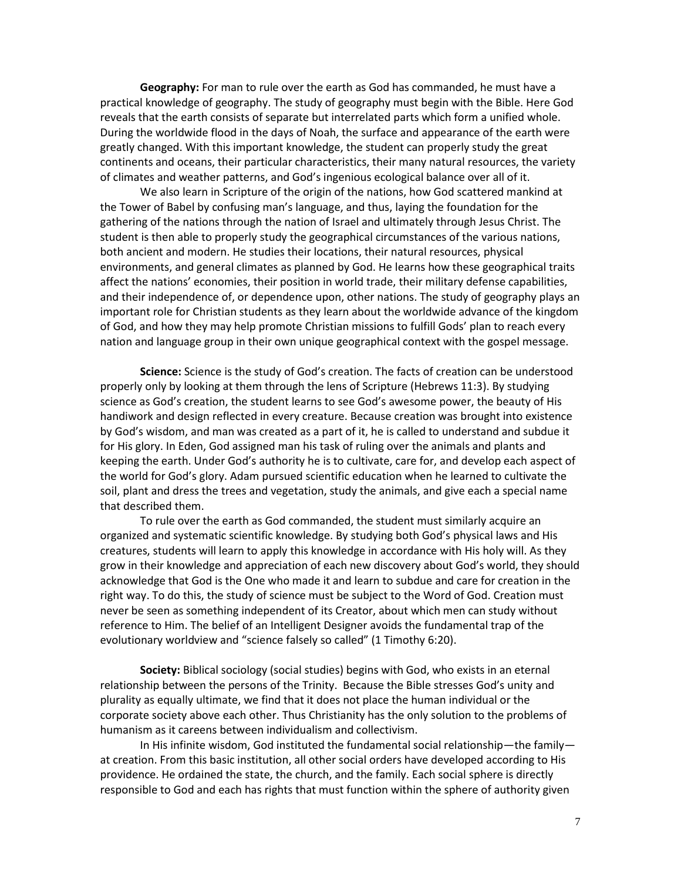**Geography:** For man to rule over the earth as God has commanded, he must have a practical knowledge of geography. The study of geography must begin with the Bible. Here God reveals that the earth consists of separate but interrelated parts which form a unified whole. During the worldwide flood in the days of Noah, the surface and appearance of the earth were greatly changed. With this important knowledge, the student can properly study the great continents and oceans, their particular characteristics, their many natural resources, the variety of climates and weather patterns, and God's ingenious ecological balance over all of it.

We also learn in Scripture of the origin of the nations, how God scattered mankind at the Tower of Babel by confusing man's language, and thus, laying the foundation for the gathering of the nations through the nation of Israel and ultimately through Jesus Christ. The student is then able to properly study the geographical circumstances of the various nations, both ancient and modern. He studies their locations, their natural resources, physical environments, and general climates as planned by God. He learns how these geographical traits affect the nations' economies, their position in world trade, their military defense capabilities, and their independence of, or dependence upon, other nations. The study of geography plays an important role for Christian students as they learn about the worldwide advance of the kingdom of God, and how they may help promote Christian missions to fulfill Gods' plan to reach every nation and language group in their own unique geographical context with the gospel message.

**Science:** Science is the study of God's creation. The facts of creation can be understood properly only by looking at them through the lens of Scripture (Hebrews 11:3). By studying science as God's creation, the student learns to see God's awesome power, the beauty of His handiwork and design reflected in every creature. Because creation was brought into existence by God's wisdom, and man was created as a part of it, he is called to understand and subdue it for His glory. In Eden, God assigned man his task of ruling over the animals and plants and keeping the earth. Under God's authority he is to cultivate, care for, and develop each aspect of the world for God's glory. Adam pursued scientific education when he learned to cultivate the soil, plant and dress the trees and vegetation, study the animals, and give each a special name that described them.

To rule over the earth as God commanded, the student must similarly acquire an organized and systematic scientific knowledge. By studying both God's physical laws and His creatures, students will learn to apply this knowledge in accordance with His holy will. As they grow in their knowledge and appreciation of each new discovery about God's world, they should acknowledge that God is the One who made it and learn to subdue and care for creation in the right way. To do this, the study of science must be subject to the Word of God. Creation must never be seen as something independent of its Creator, about which men can study without reference to Him. The belief of an Intelligent Designer avoids the fundamental trap of the evolutionary worldview and "science falsely so called" (1 Timothy 6:20).

**Society:** Biblical sociology (social studies) begins with God, who exists in an eternal relationship between the persons of the Trinity. Because the Bible stresses God's unity and plurality as equally ultimate, we find that it does not place the human individual or the corporate society above each other. Thus Christianity has the only solution to the problems of humanism as it careens between individualism and collectivism.

In His infinite wisdom, God instituted the fundamental social relationship—the family at creation. From this basic institution, all other social orders have developed according to His providence. He ordained the state, the church, and the family. Each social sphere is directly responsible to God and each has rights that must function within the sphere of authority given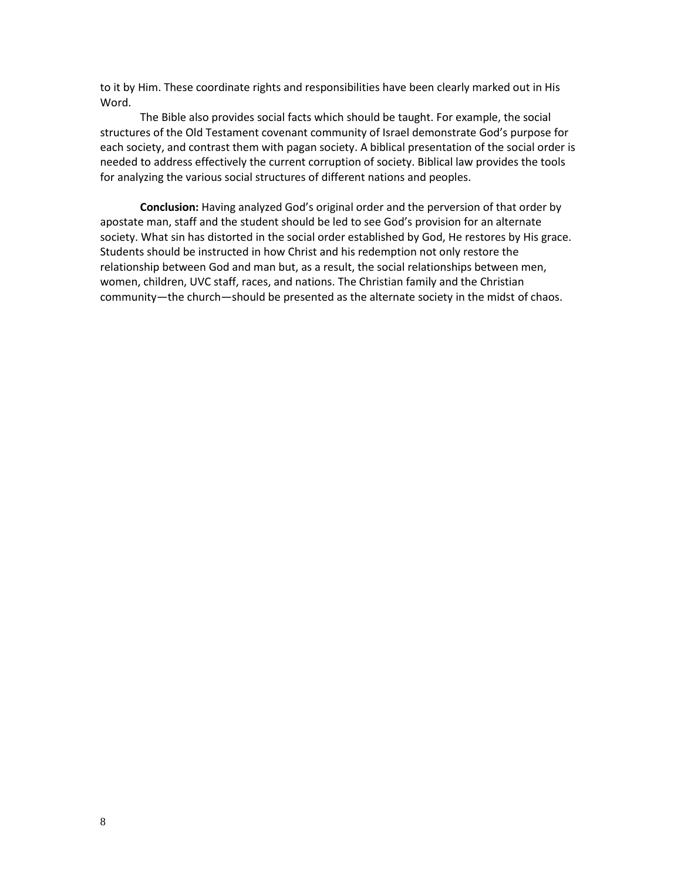to it by Him. These coordinate rights and responsibilities have been clearly marked out in His Word.

The Bible also provides social facts which should be taught. For example, the social structures of the Old Testament covenant community of Israel demonstrate God's purpose for each society, and contrast them with pagan society. A biblical presentation of the social order is needed to address effectively the current corruption of society. Biblical law provides the tools for analyzing the various social structures of different nations and peoples.

**Conclusion:** Having analyzed God's original order and the perversion of that order by apostate man, staff and the student should be led to see God's provision for an alternate society. What sin has distorted in the social order established by God, He restores by His grace. Students should be instructed in how Christ and his redemption not only restore the relationship between God and man but, as a result, the social relationships between men, women, children, UVC staff, races, and nations. The Christian family and the Christian community—the church—should be presented as the alternate society in the midst of chaos.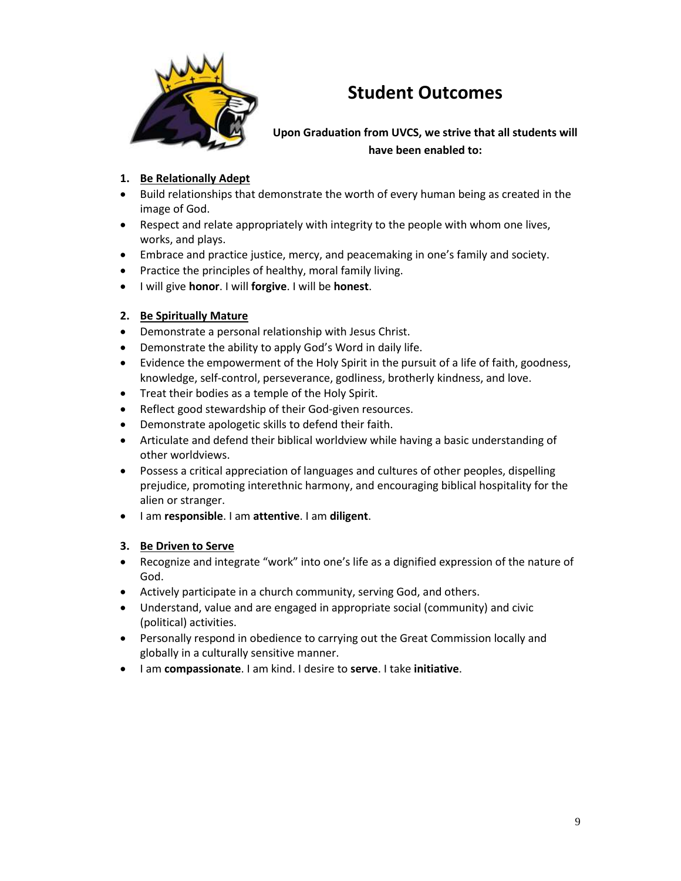

# **Student Outcomes**

**Upon Graduation from UVCS, we strive that all students will have been enabled to:**

# **1. Be Relationally Adept**

- Build relationships that demonstrate the worth of every human being as created in the image of God.
- Respect and relate appropriately with integrity to the people with whom one lives, works, and plays.
- Embrace and practice justice, mercy, and peacemaking in one's family and society.
- Practice the principles of healthy, moral family living.
- I will give **honor**. I will **forgive**. I will be **honest**.

# **2. Be Spiritually Mature**

- Demonstrate a personal relationship with Jesus Christ.
- Demonstrate the ability to apply God's Word in daily life.
- Evidence the empowerment of the Holy Spirit in the pursuit of a life of faith, goodness, knowledge, self-control, perseverance, godliness, brotherly kindness, and love.
- Treat their bodies as a temple of the Holy Spirit.
- Reflect good stewardship of their God-given resources.
- Demonstrate apologetic skills to defend their faith.
- Articulate and defend their biblical worldview while having a basic understanding of other worldviews.
- Possess a critical appreciation of languages and cultures of other peoples, dispelling prejudice, promoting interethnic harmony, and encouraging biblical hospitality for the alien or stranger.
- I am **responsible**. I am **attentive**. I am **diligent**.

# **3. Be Driven to Serve**

- Recognize and integrate "work" into one's life as a dignified expression of the nature of God.
- Actively participate in a church community, serving God, and others.
- Understand, value and are engaged in appropriate social (community) and civic (political) activities.
- Personally respond in obedience to carrying out the Great Commission locally and globally in a culturally sensitive manner.
- I am **compassionate**. I am kind. I desire to **serve**. I take **initiative**.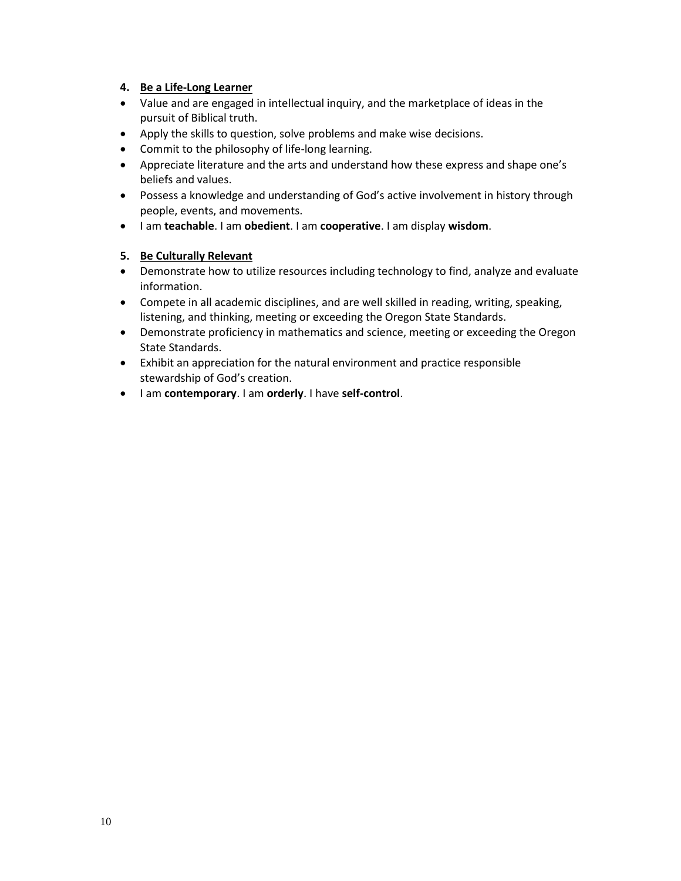# **4. Be a Life-Long Learner**

- Value and are engaged in intellectual inquiry, and the marketplace of ideas in the pursuit of Biblical truth.
- Apply the skills to question, solve problems and make wise decisions.
- Commit to the philosophy of life-long learning.
- Appreciate literature and the arts and understand how these express and shape one's beliefs and values.
- Possess a knowledge and understanding of God's active involvement in history through people, events, and movements.
- I am **teachable**. I am **obedient**. I am **cooperative**. I am display **wisdom**.

# **5. Be Culturally Relevant**

- Demonstrate how to utilize resources including technology to find, analyze and evaluate information.
- Compete in all academic disciplines, and are well skilled in reading, writing, speaking, listening, and thinking, meeting or exceeding the Oregon State Standards.
- Demonstrate proficiency in mathematics and science, meeting or exceeding the Oregon State Standards.
- Exhibit an appreciation for the natural environment and practice responsible stewardship of God's creation.
- I am **contemporary**. I am **orderly**. I have **self-control**.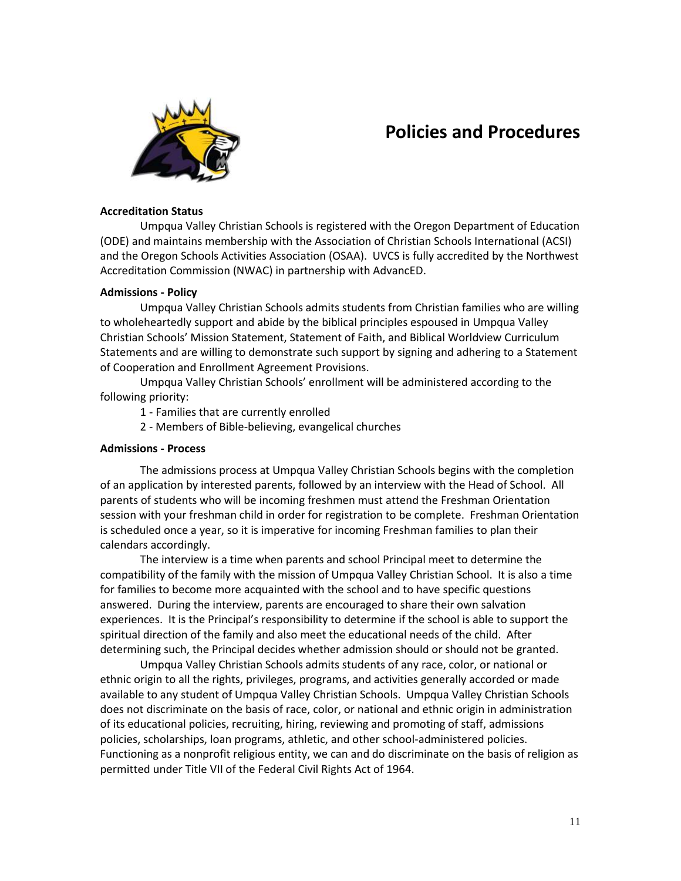

# **Policies and Procedures**

# **Accreditation Status**

Umpqua Valley Christian Schools is registered with the Oregon Department of Education (ODE) and maintains membership with the Association of Christian Schools International (ACSI) and the Oregon Schools Activities Association (OSAA). UVCS is fully accredited by the Northwest Accreditation Commission (NWAC) in partnership with AdvancED.

# **Admissions - Policy**

Umpqua Valley Christian Schools admits students from Christian families who are willing to wholeheartedly support and abide by the biblical principles espoused in Umpqua Valley Christian Schools' Mission Statement, Statement of Faith, and Biblical Worldview Curriculum Statements and are willing to demonstrate such support by signing and adhering to a Statement of Cooperation and Enrollment Agreement Provisions.

Umpqua Valley Christian Schools' enrollment will be administered according to the following priority:

1 - Families that are currently enrolled

2 - Members of Bible-believing, evangelical churches

# **Admissions - Process**

The admissions process at Umpqua Valley Christian Schools begins with the completion of an application by interested parents, followed by an interview with the Head of School. All parents of students who will be incoming freshmen must attend the Freshman Orientation session with your freshman child in order for registration to be complete. Freshman Orientation is scheduled once a year, so it is imperative for incoming Freshman families to plan their calendars accordingly.

The interview is a time when parents and school Principal meet to determine the compatibility of the family with the mission of Umpqua Valley Christian School. It is also a time for families to become more acquainted with the school and to have specific questions answered. During the interview, parents are encouraged to share their own salvation experiences. It is the Principal's responsibility to determine if the school is able to support the spiritual direction of the family and also meet the educational needs of the child. After determining such, the Principal decides whether admission should or should not be granted.

Umpqua Valley Christian Schools admits students of any race, color, or national or ethnic origin to all the rights, privileges, programs, and activities generally accorded or made available to any student of Umpqua Valley Christian Schools. Umpqua Valley Christian Schools does not discriminate on the basis of race, color, or national and ethnic origin in administration of its educational policies, recruiting, hiring, reviewing and promoting of staff, admissions policies, scholarships, loan programs, athletic, and other school-administered policies. Functioning as a nonprofit religious entity, we can and do discriminate on the basis of religion as permitted under Title VII of the Federal Civil Rights Act of 1964.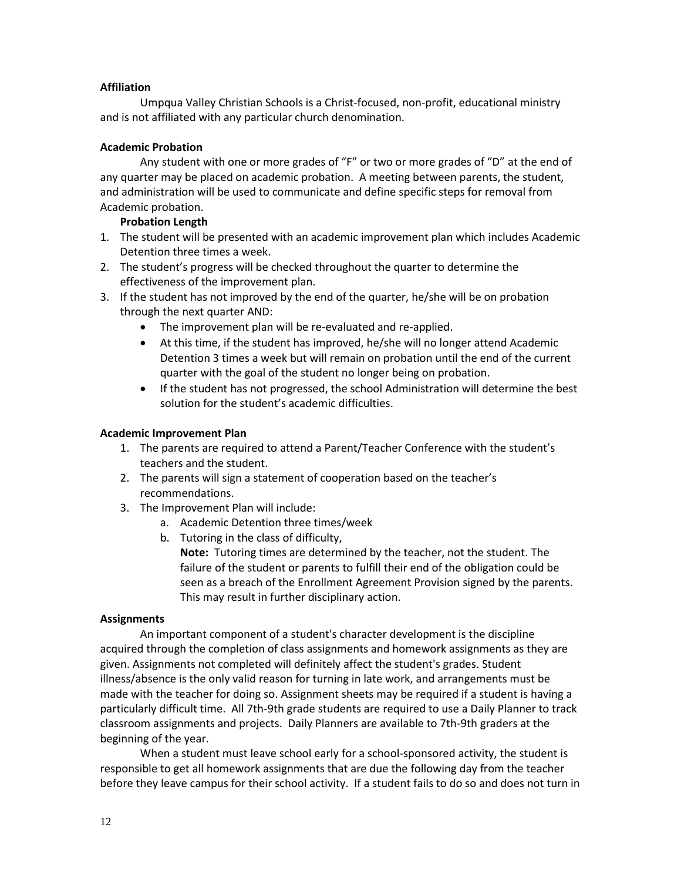# **Affiliation**

Umpqua Valley Christian Schools is a Christ-focused, non-profit, educational ministry and is not affiliated with any particular church denomination.

# **Academic Probation**

Any student with one or more grades of "F" or two or more grades of "D" at the end of any quarter may be placed on academic probation. A meeting between parents, the student, and administration will be used to communicate and define specific steps for removal from Academic probation.

# **Probation Length**

- 1. The student will be presented with an academic improvement plan which includes Academic Detention three times a week.
- 2. The student's progress will be checked throughout the quarter to determine the effectiveness of the improvement plan.
- 3. If the student has not improved by the end of the quarter, he/she will be on probation through the next quarter AND:
	- The improvement plan will be re-evaluated and re-applied.
	- At this time, if the student has improved, he/she will no longer attend Academic Detention 3 times a week but will remain on probation until the end of the current quarter with the goal of the student no longer being on probation.
	- If the student has not progressed, the school Administration will determine the best solution for the student's academic difficulties.

# **Academic Improvement Plan**

- 1. The parents are required to attend a Parent/Teacher Conference with the student's teachers and the student.
- 2. The parents will sign a statement of cooperation based on the teacher's recommendations.
- 3. The Improvement Plan will include:
	- a. Academic Detention three times/week
	- b. Tutoring in the class of difficulty,

**Note:** Tutoring times are determined by the teacher, not the student. The failure of the student or parents to fulfill their end of the obligation could be seen as a breach of the Enrollment Agreement Provision signed by the parents. This may result in further disciplinary action.

# **Assignments**

An important component of a student's character development is the discipline acquired through the completion of class assignments and homework assignments as they are given. Assignments not completed will definitely affect the student's grades. Student illness/absence is the only valid reason for turning in late work, and arrangements must be made with the teacher for doing so. Assignment sheets may be required if a student is having a particularly difficult time. All 7th-9th grade students are required to use a Daily Planner to track classroom assignments and projects. Daily Planners are available to 7th-9th graders at the beginning of the year.

When a student must leave school early for a school-sponsored activity, the student is responsible to get all homework assignments that are due the following day from the teacher before they leave campus for their school activity. If a student fails to do so and does not turn in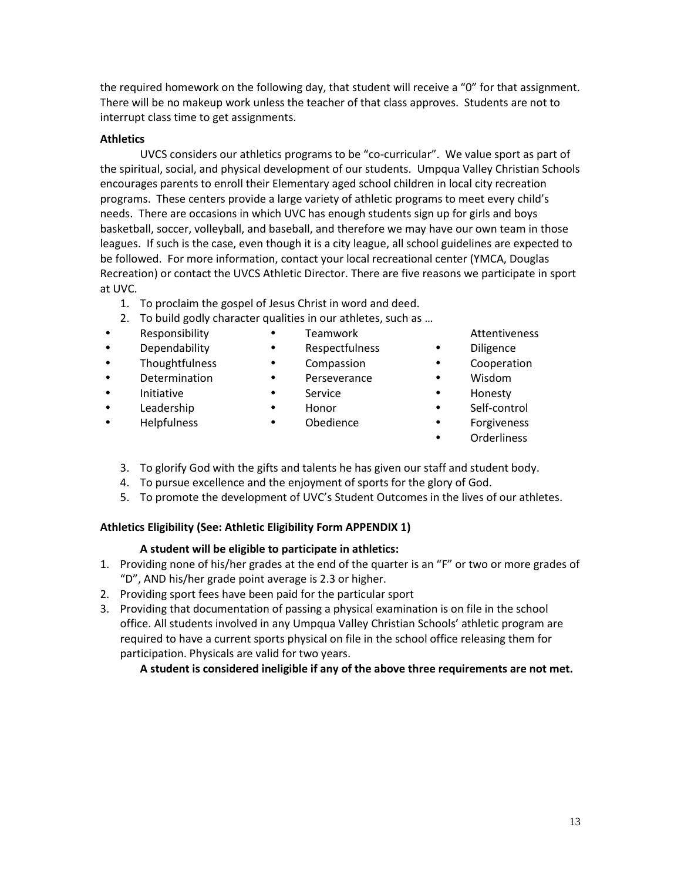the required homework on the following day, that student will receive a "0" for that assignment. There will be no makeup work unless the teacher of that class approves. Students are not to interrupt class time to get assignments.

# **Athletics**

UVCS considers our athletics programs to be "co-curricular". We value sport as part of the spiritual, social, and physical development of our students. Umpqua Valley Christian Schools encourages parents to enroll their Elementary aged school children in local city recreation programs. These centers provide a large variety of athletic programs to meet every child's needs. There are occasions in which UVC has enough students sign up for girls and boys basketball, soccer, volleyball, and baseball, and therefore we may have our own team in those leagues. If such is the case, even though it is a city league, all school guidelines are expected to be followed. For more information, contact your local recreational center (YMCA, Douglas Recreation) or contact the UVCS Athletic Director. There are five reasons we participate in sport at UVC.

- 1. To proclaim the gospel of Jesus Christ in word and deed.
- 2. To build godly character qualities in our athletes, such as …
- Responsibility
- Teamwork Respectfulness
- Dependability Thoughtfulness
- **•** Compassion
- Determination

 Leadership Helpfulness

- Initiative
- - - -
- 
- Orderliness
- 3. To glorify God with the gifts and talents he has given our staff and student body.
- 4. To pursue excellence and the enjoyment of sports for the glory of God.
- 5. To promote the development of UVC's Student Outcomes in the lives of our athletes.

# **Athletics Eligibility (See: Athletic Eligibility Form APPENDIX 1)**

# **A student will be eligible to participate in athletics:**

- 1. Providing none of his/her grades at the end of the quarter is an "F" or two or more grades of "D", AND his/her grade point average is 2.3 or higher.
- 2. Providing sport fees have been paid for the particular sport
- 3. Providing that documentation of passing a physical examination is on file in the school office. All students involved in any Umpqua Valley Christian Schools' athletic program are required to have a current sports physical on file in the school office releasing them for participation. Physicals are valid for two years.

**A student is considered ineligible if any of the above three requirements are not met.** 

- **Attentiveness**
- Diligence
- Cooperation
- Wisdom
- Honesty
- Self-control
- Forgiveness
	-
- 
- -
	-
- Honor
- 
- - Obedience
- Perseverance • Service
- 
-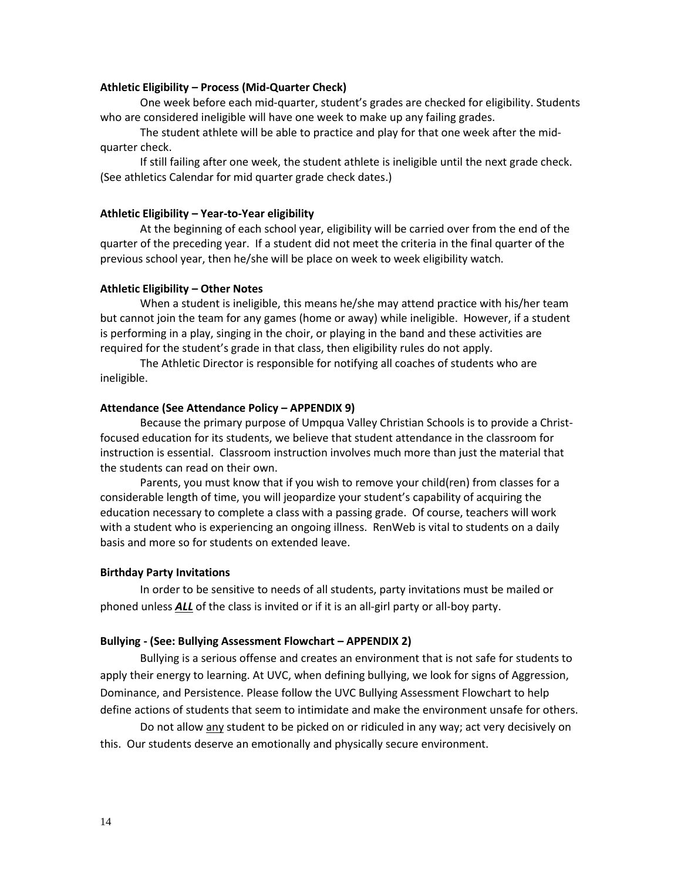### **Athletic Eligibility – Process (Mid-Quarter Check)**

One week before each mid-quarter, student's grades are checked for eligibility. Students who are considered ineligible will have one week to make up any failing grades.

The student athlete will be able to practice and play for that one week after the midquarter check.

If still failing after one week, the student athlete is ineligible until the next grade check. (See athletics Calendar for mid quarter grade check dates.)

#### **Athletic Eligibility – Year-to-Year eligibility**

At the beginning of each school year, eligibility will be carried over from the end of the quarter of the preceding year. If a student did not meet the criteria in the final quarter of the previous school year, then he/she will be place on week to week eligibility watch.

#### **Athletic Eligibility – Other Notes**

When a student is ineligible, this means he/she may attend practice with his/her team but cannot join the team for any games (home or away) while ineligible. However, if a student is performing in a play, singing in the choir, or playing in the band and these activities are required for the student's grade in that class, then eligibility rules do not apply.

The Athletic Director is responsible for notifying all coaches of students who are ineligible.

#### **Attendance (See Attendance Policy – APPENDIX 9)**

Because the primary purpose of Umpqua Valley Christian Schools is to provide a Christfocused education for its students, we believe that student attendance in the classroom for instruction is essential. Classroom instruction involves much more than just the material that the students can read on their own.

Parents, you must know that if you wish to remove your child(ren) from classes for a considerable length of time, you will jeopardize your student's capability of acquiring the education necessary to complete a class with a passing grade. Of course, teachers will work with a student who is experiencing an ongoing illness. RenWeb is vital to students on a daily basis and more so for students on extended leave.

#### **Birthday Party Invitations**

In order to be sensitive to needs of all students, party invitations must be mailed or phoned unless *ALL* of the class is invited or if it is an all-girl party or all-boy party.

#### **Bullying - (See: Bullying Assessment Flowchart – APPENDIX 2)**

Bullying is a serious offense and creates an environment that is not safe for students to apply their energy to learning. At UVC, when defining bullying, we look for signs of Aggression, Dominance, and Persistence. Please follow the UVC Bullying Assessment Flowchart to help define actions of students that seem to intimidate and make the environment unsafe for others.

Do not allow any student to be picked on or ridiculed in any way; act very decisively on this. Our students deserve an emotionally and physically secure environment.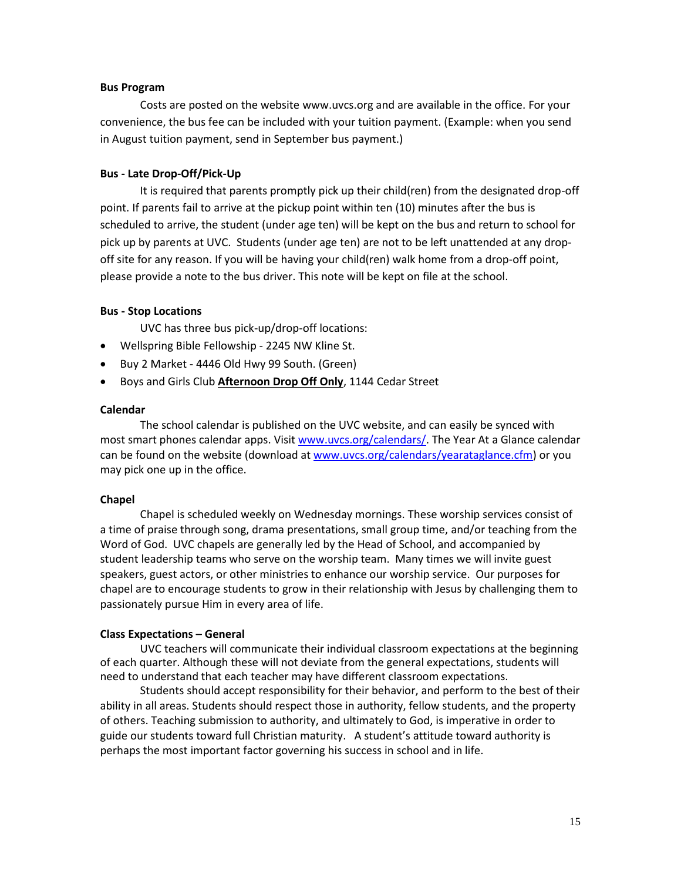#### **Bus Program**

Costs are posted on the website www.uvcs.org and are available in the office. For your convenience, the bus fee can be included with your tuition payment. (Example: when you send in August tuition payment, send in September bus payment.)

#### **Bus - Late Drop-Off/Pick-Up**

It is required that parents promptly pick up their child(ren) from the designated drop-off point. If parents fail to arrive at the pickup point within ten (10) minutes after the bus is scheduled to arrive, the student (under age ten) will be kept on the bus and return to school for pick up by parents at UVC. Students (under age ten) are not to be left unattended at any dropoff site for any reason. If you will be having your child(ren) walk home from a drop-off point, please provide a note to the bus driver. This note will be kept on file at the school.

#### **Bus - Stop Locations**

UVC has three bus pick-up/drop-off locations:

- Wellspring Bible Fellowship 2245 NW Kline St.
- Buy 2 Market 4446 Old Hwy 99 South. (Green)
- Boys and Girls Club **Afternoon Drop Off Only**, 1144 Cedar Street

# **Calendar**

The school calendar is published on the UVC website, and can easily be synced with most smart phones calendar apps. Visit [www.uvcs.org/calendars/.](http://www.uvcs.org/calendars/) The Year At a Glance calendar can be found on the website (download at [www.uvcs.org/calendars/yearataglance.cfm\)](http://www.uvcs.org/calendars/yearataglance.cfm) or you may pick one up in the office.

#### **Chapel**

Chapel is scheduled weekly on Wednesday mornings. These worship services consist of a time of praise through song, drama presentations, small group time, and/or teaching from the Word of God. UVC chapels are generally led by the Head of School, and accompanied by student leadership teams who serve on the worship team. Many times we will invite guest speakers, guest actors, or other ministries to enhance our worship service. Our purposes for chapel are to encourage students to grow in their relationship with Jesus by challenging them to passionately pursue Him in every area of life.

#### **Class Expectations – General**

UVC teachers will communicate their individual classroom expectations at the beginning of each quarter. Although these will not deviate from the general expectations, students will need to understand that each teacher may have different classroom expectations.

Students should accept responsibility for their behavior, and perform to the best of their ability in all areas. Students should respect those in authority, fellow students, and the property of others. Teaching submission to authority, and ultimately to God, is imperative in order to guide our students toward full Christian maturity. A student's attitude toward authority is perhaps the most important factor governing his success in school and in life.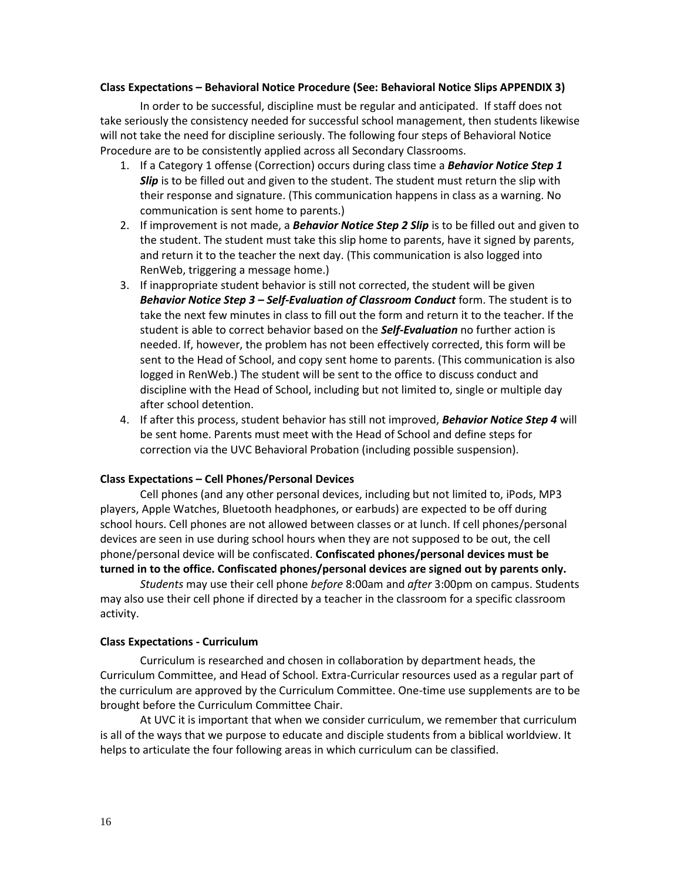#### **Class Expectations – Behavioral Notice Procedure (See: Behavioral Notice Slips APPENDIX 3)**

In order to be successful, discipline must be regular and anticipated. If staff does not take seriously the consistency needed for successful school management, then students likewise will not take the need for discipline seriously. The following four steps of Behavioral Notice Procedure are to be consistently applied across all Secondary Classrooms.

- 1. If a Category 1 offense (Correction) occurs during class time a *Behavior Notice Step 1*  **Slip** is to be filled out and given to the student. The student must return the slip with their response and signature. (This communication happens in class as a warning. No communication is sent home to parents.)
- 2. If improvement is not made, a *Behavior Notice Step 2 Slip* is to be filled out and given to the student. The student must take this slip home to parents, have it signed by parents, and return it to the teacher the next day. (This communication is also logged into RenWeb, triggering a message home.)
- 3. If inappropriate student behavior is still not corrected, the student will be given *Behavior Notice Step 3 – Self-Evaluation of Classroom Conduct* form. The student is to take the next few minutes in class to fill out the form and return it to the teacher. If the student is able to correct behavior based on the *Self-Evaluation* no further action is needed. If, however, the problem has not been effectively corrected, this form will be sent to the Head of School, and copy sent home to parents. (This communication is also logged in RenWeb.) The student will be sent to the office to discuss conduct and discipline with the Head of School, including but not limited to, single or multiple day after school detention.
- 4. If after this process, student behavior has still not improved, *Behavior Notice Step 4* will be sent home. Parents must meet with the Head of School and define steps for correction via the UVC Behavioral Probation (including possible suspension).

#### **Class Expectations – Cell Phones/Personal Devices**

Cell phones (and any other personal devices, including but not limited to, iPods, MP3 players, Apple Watches, Bluetooth headphones, or earbuds) are expected to be off during school hours. Cell phones are not allowed between classes or at lunch. If cell phones/personal devices are seen in use during school hours when they are not supposed to be out, the cell phone/personal device will be confiscated. **Confiscated phones/personal devices must be turned in to the office. Confiscated phones/personal devices are signed out by parents only.** 

*Students* may use their cell phone *before* 8:00am and *after* 3:00pm on campus. Students may also use their cell phone if directed by a teacher in the classroom for a specific classroom activity.

#### **Class Expectations - Curriculum**

Curriculum is researched and chosen in collaboration by department heads, the Curriculum Committee, and Head of School. Extra-Curricular resources used as a regular part of the curriculum are approved by the Curriculum Committee. One-time use supplements are to be brought before the Curriculum Committee Chair.

At UVC it is important that when we consider curriculum, we remember that curriculum is all of the ways that we purpose to educate and disciple students from a biblical worldview. It helps to articulate the four following areas in which curriculum can be classified.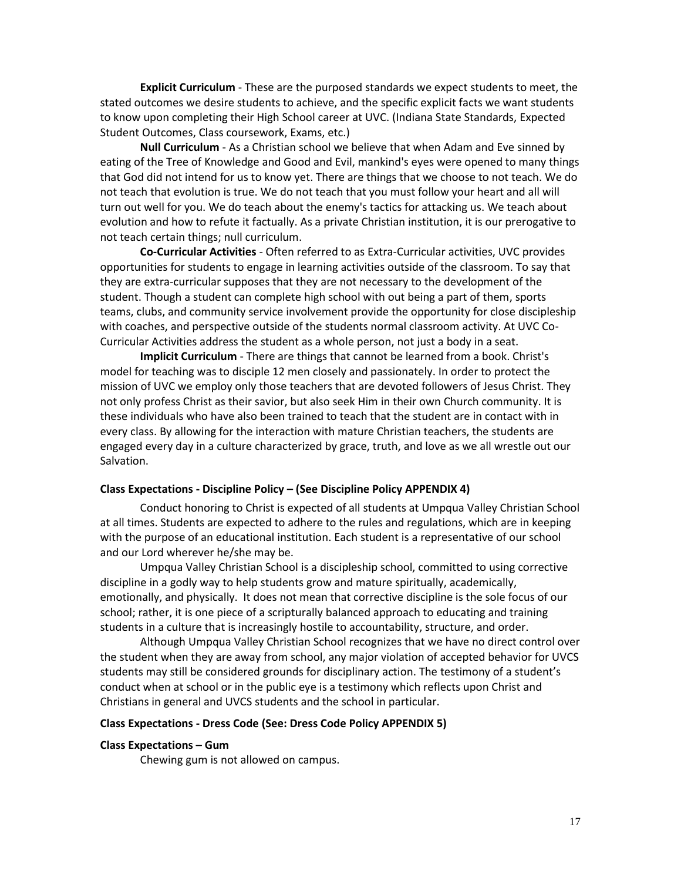**Explicit Curriculum** - These are the purposed standards we expect students to meet, the stated outcomes we desire students to achieve, and the specific explicit facts we want students to know upon completing their High School career at UVC. (Indiana State Standards, Expected Student Outcomes, Class coursework, Exams, etc.)

**Null Curriculum** - As a Christian school we believe that when Adam and Eve sinned by eating of the Tree of Knowledge and Good and Evil, mankind's eyes were opened to many things that God did not intend for us to know yet. There are things that we choose to not teach. We do not teach that evolution is true. We do not teach that you must follow your heart and all will turn out well for you. We do teach about the enemy's tactics for attacking us. We teach about evolution and how to refute it factually. As a private Christian institution, it is our prerogative to not teach certain things; null curriculum.

**Co-Curricular Activities** - Often referred to as Extra-Curricular activities, UVC provides opportunities for students to engage in learning activities outside of the classroom. To say that they are extra-curricular supposes that they are not necessary to the development of the student. Though a student can complete high school with out being a part of them, sports teams, clubs, and community service involvement provide the opportunity for close discipleship with coaches, and perspective outside of the students normal classroom activity. At UVC Co-Curricular Activities address the student as a whole person, not just a body in a seat.

**Implicit Curriculum** - There are things that cannot be learned from a book. Christ's model for teaching was to disciple 12 men closely and passionately. In order to protect the mission of UVC we employ only those teachers that are devoted followers of Jesus Christ. They not only profess Christ as their savior, but also seek Him in their own Church community. It is these individuals who have also been trained to teach that the student are in contact with in every class. By allowing for the interaction with mature Christian teachers, the students are engaged every day in a culture characterized by grace, truth, and love as we all wrestle out our Salvation.

#### **Class Expectations - Discipline Policy – (See Discipline Policy APPENDIX 4)**

Conduct honoring to Christ is expected of all students at Umpqua Valley Christian School at all times. Students are expected to adhere to the rules and regulations, which are in keeping with the purpose of an educational institution. Each student is a representative of our school and our Lord wherever he/she may be.

Umpqua Valley Christian School is a discipleship school, committed to using corrective discipline in a godly way to help students grow and mature spiritually, academically, emotionally, and physically. It does not mean that corrective discipline is the sole focus of our school; rather, it is one piece of a scripturally balanced approach to educating and training students in a culture that is increasingly hostile to accountability, structure, and order.

Although Umpqua Valley Christian School recognizes that we have no direct control over the student when they are away from school, any major violation of accepted behavior for UVCS students may still be considered grounds for disciplinary action. The testimony of a student's conduct when at school or in the public eye is a testimony which reflects upon Christ and Christians in general and UVCS students and the school in particular.

#### **Class Expectations - Dress Code (See: Dress Code Policy APPENDIX 5)**

#### **Class Expectations – Gum**

Chewing gum is not allowed on campus.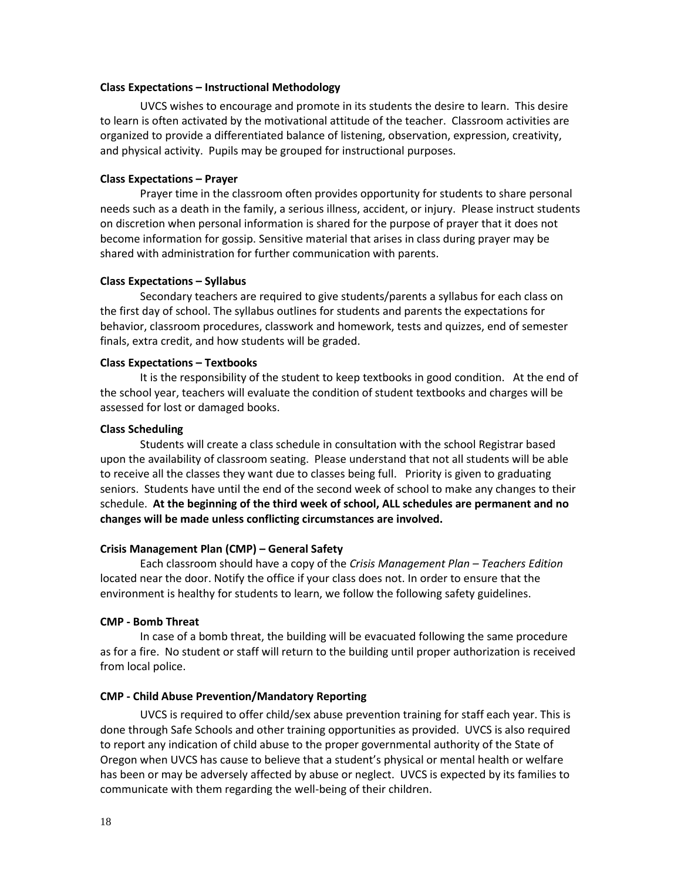#### **Class Expectations – Instructional Methodology**

UVCS wishes to encourage and promote in its students the desire to learn. This desire to learn is often activated by the motivational attitude of the teacher. Classroom activities are organized to provide a differentiated balance of listening, observation, expression, creativity, and physical activity. Pupils may be grouped for instructional purposes.

#### **Class Expectations – Prayer**

Prayer time in the classroom often provides opportunity for students to share personal needs such as a death in the family, a serious illness, accident, or injury. Please instruct students on discretion when personal information is shared for the purpose of prayer that it does not become information for gossip. Sensitive material that arises in class during prayer may be shared with administration for further communication with parents.

#### **Class Expectations – Syllabus**

Secondary teachers are required to give students/parents a syllabus for each class on the first day of school. The syllabus outlines for students and parents the expectations for behavior, classroom procedures, classwork and homework, tests and quizzes, end of semester finals, extra credit, and how students will be graded.

#### **Class Expectations – Textbooks**

It is the responsibility of the student to keep textbooks in good condition. At the end of the school year, teachers will evaluate the condition of student textbooks and charges will be assessed for lost or damaged books.

#### **Class Scheduling**

Students will create a class schedule in consultation with the school Registrar based upon the availability of classroom seating. Please understand that not all students will be able to receive all the classes they want due to classes being full. Priority is given to graduating seniors. Students have until the end of the second week of school to make any changes to their schedule. **At the beginning of the third week of school, ALL schedules are permanent and no changes will be made unless conflicting circumstances are involved.**

#### **Crisis Management Plan (CMP) – General Safety**

Each classroom should have a copy of the *Crisis Management Plan – Teachers Edition* located near the door. Notify the office if your class does not. In order to ensure that the environment is healthy for students to learn, we follow the following safety guidelines.

#### **CMP - Bomb Threat**

In case of a bomb threat, the building will be evacuated following the same procedure as for a fire. No student or staff will return to the building until proper authorization is received from local police.

#### **CMP - Child Abuse Prevention/Mandatory Reporting**

UVCS is required to offer child/sex abuse prevention training for staff each year. This is done through Safe Schools and other training opportunities as provided. UVCS is also required to report any indication of child abuse to the proper governmental authority of the State of Oregon when UVCS has cause to believe that a student's physical or mental health or welfare has been or may be adversely affected by abuse or neglect. UVCS is expected by its families to communicate with them regarding the well-being of their children.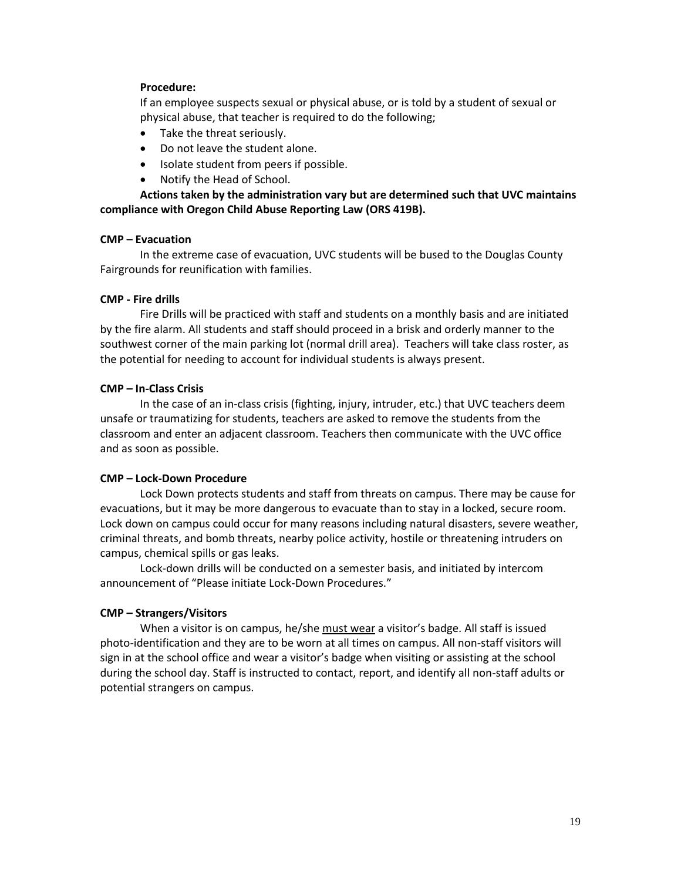# **Procedure:**

If an employee suspects sexual or physical abuse, or is told by a student of sexual or physical abuse, that teacher is required to do the following;

- Take the threat seriously.
- Do not leave the student alone.
- Isolate student from peers if possible.
- Notify the Head of School.

**Actions taken by the administration vary but are determined such that UVC maintains compliance with Oregon Child Abuse Reporting Law (ORS 419B).**

#### **CMP – Evacuation**

In the extreme case of evacuation, UVC students will be bused to the Douglas County Fairgrounds for reunification with families.

# **CMP - Fire drills**

Fire Drills will be practiced with staff and students on a monthly basis and are initiated by the fire alarm. All students and staff should proceed in a brisk and orderly manner to the southwest corner of the main parking lot (normal drill area). Teachers will take class roster, as the potential for needing to account for individual students is always present.

# **CMP – In-Class Crisis**

In the case of an in-class crisis (fighting, injury, intruder, etc.) that UVC teachers deem unsafe or traumatizing for students, teachers are asked to remove the students from the classroom and enter an adjacent classroom. Teachers then communicate with the UVC office and as soon as possible.

# **CMP – Lock-Down Procedure**

Lock Down protects students and staff from threats on campus. There may be cause for evacuations, but it may be more dangerous to evacuate than to stay in a locked, secure room. Lock down on campus could occur for many reasons including natural disasters, severe weather, criminal threats, and bomb threats, nearby police activity, hostile or threatening intruders on campus, chemical spills or gas leaks.

Lock-down drills will be conducted on a semester basis, and initiated by intercom announcement of "Please initiate Lock-Down Procedures."

# **CMP – Strangers/Visitors**

When a visitor is on campus, he/she must wear a visitor's badge. All staff is issued photo-identification and they are to be worn at all times on campus. All non-staff visitors will sign in at the school office and wear a visitor's badge when visiting or assisting at the school during the school day. Staff is instructed to contact, report, and identify all non-staff adults or potential strangers on campus.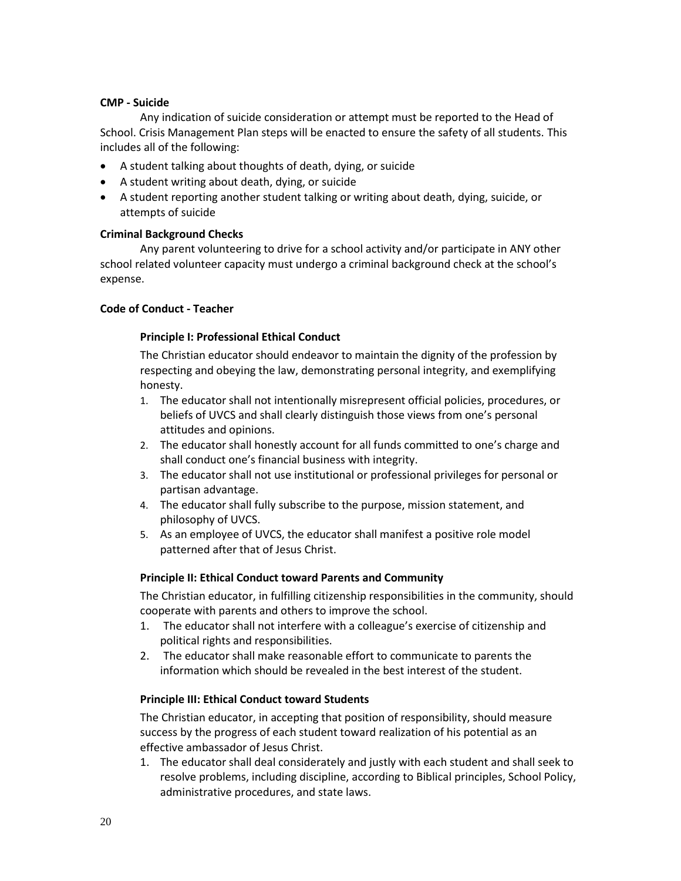# **CMP - Suicide**

Any indication of suicide consideration or attempt must be reported to the Head of School. Crisis Management Plan steps will be enacted to ensure the safety of all students. This includes all of the following:

- A student talking about thoughts of death, dying, or suicide
- A student writing about death, dying, or suicide
- A student reporting another student talking or writing about death, dying, suicide, or attempts of suicide

# **Criminal Background Checks**

Any parent volunteering to drive for a school activity and/or participate in ANY other school related volunteer capacity must undergo a criminal background check at the school's expense.

# **Code of Conduct - Teacher**

# **Principle I: Professional Ethical Conduct**

The Christian educator should endeavor to maintain the dignity of the profession by respecting and obeying the law, demonstrating personal integrity, and exemplifying honesty.

- 1. The educator shall not intentionally misrepresent official policies, procedures, or beliefs of UVCS and shall clearly distinguish those views from one's personal attitudes and opinions.
- 2. The educator shall honestly account for all funds committed to one's charge and shall conduct one's financial business with integrity.
- 3. The educator shall not use institutional or professional privileges for personal or partisan advantage.
- 4. The educator shall fully subscribe to the purpose, mission statement, and philosophy of UVCS.
- 5. As an employee of UVCS, the educator shall manifest a positive role model patterned after that of Jesus Christ.

#### **Principle II: Ethical Conduct toward Parents and Community**

The Christian educator, in fulfilling citizenship responsibilities in the community, should cooperate with parents and others to improve the school.

- 1. The educator shall not interfere with a colleague's exercise of citizenship and political rights and responsibilities.
- 2. The educator shall make reasonable effort to communicate to parents the information which should be revealed in the best interest of the student.

#### **Principle III: Ethical Conduct toward Students**

The Christian educator, in accepting that position of responsibility, should measure success by the progress of each student toward realization of his potential as an effective ambassador of Jesus Christ.

1. The educator shall deal considerately and justly with each student and shall seek to resolve problems, including discipline, according to Biblical principles, School Policy, administrative procedures, and state laws.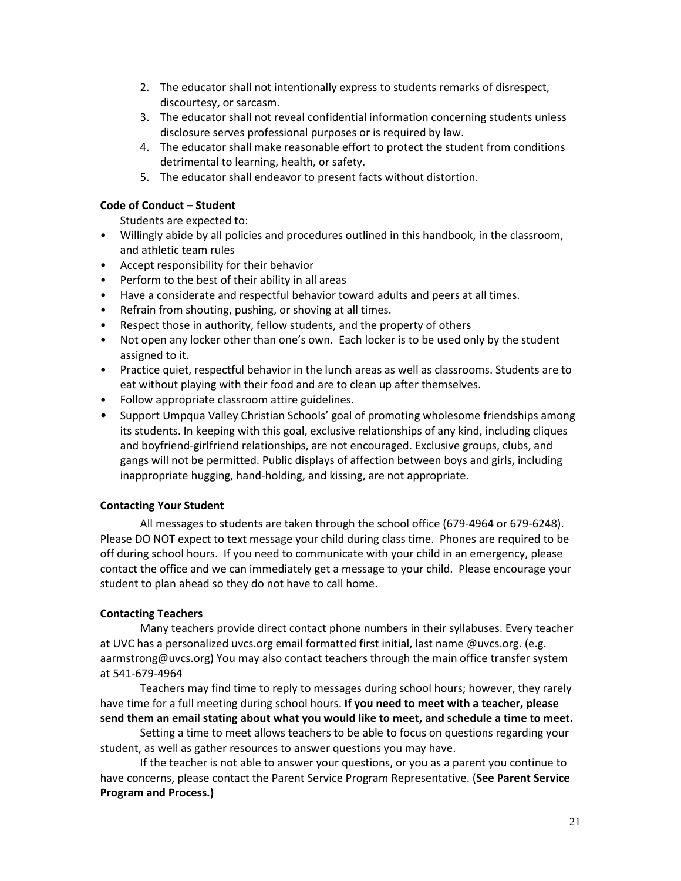- 2. The educator shall not intentionally express to students remarks of disrespect, discourtesy, or sarcasm.
- 3. The educator shall not reveal confidential information concerning students unless disclosure serves professional purposes or is required by law.
- 4. The educator shall make reasonable effort to protect the student from conditions detrimental to learning, health, or safety.
- 5. The educator shall endeavor to present facts without distortion.

# **Code of Conduct – Student**

Students are expected to:

- Willingly abide by all policies and procedures outlined in this handbook, in the classroom, and athletic team rules
- Accept responsibility for their behavior
- Perform to the best of their ability in all areas
- Have a considerate and respectful behavior toward adults and peers at all times.
- Refrain from shouting, pushing, or shoving at all times.
- Respect those in authority, fellow students, and the property of others
- Not open any locker other than one's own. Each locker is to be used only by the student assigned to it.
- Practice quiet, respectful behavior in the lunch areas as well as classrooms. Students are to eat without playing with their food and are to clean up after themselves.
- Follow appropriate classroom attire guidelines.
- Support Umpqua Valley Christian Schools' goal of promoting wholesome friendships among its students. In keeping with this goal, exclusive relationships of any kind, including cliques and boyfriend-girlfriend relationships, are not encouraged. Exclusive groups, clubs, and gangs will not be permitted. Public displays of affection between boys and girls, including inappropriate hugging, hand-holding, and kissing, are not appropriate.

# **Contacting Your Student**

All messages to students are taken through the school office (679-4964 or 679-6248). Please DO NOT expect to text message your child during class time. Phones are required to be off during school hours. If you need to communicate with your child in an emergency, please contact the office and we can immediately get a message to your child. Please encourage your student to plan ahead so they do not have to call home.

# **Contacting Teachers**

Many teachers provide direct contact phone numbers in their syllabuses. Every teacher at UVC has a personalized uvcs.org email formatted first initial, last name @uvcs.org. (e.g. aarmstrong@uvcs.org) You may also contact teachers through the main office transfer system at 541-679-4964

Teachers may find time to reply to messages during school hours; however, they rarely have time for a full meeting during school hours. **If you need to meet with a teacher, please send them an email stating about what you would like to meet, and schedule a time to meet.** 

Setting a time to meet allows teachers to be able to focus on questions regarding your student, as well as gather resources to answer questions you may have.

If the teacher is not able to answer your questions, or you as a parent you continue to have concerns, please contact the Parent Service Program Representative. (**See Parent Service Program and Process.)**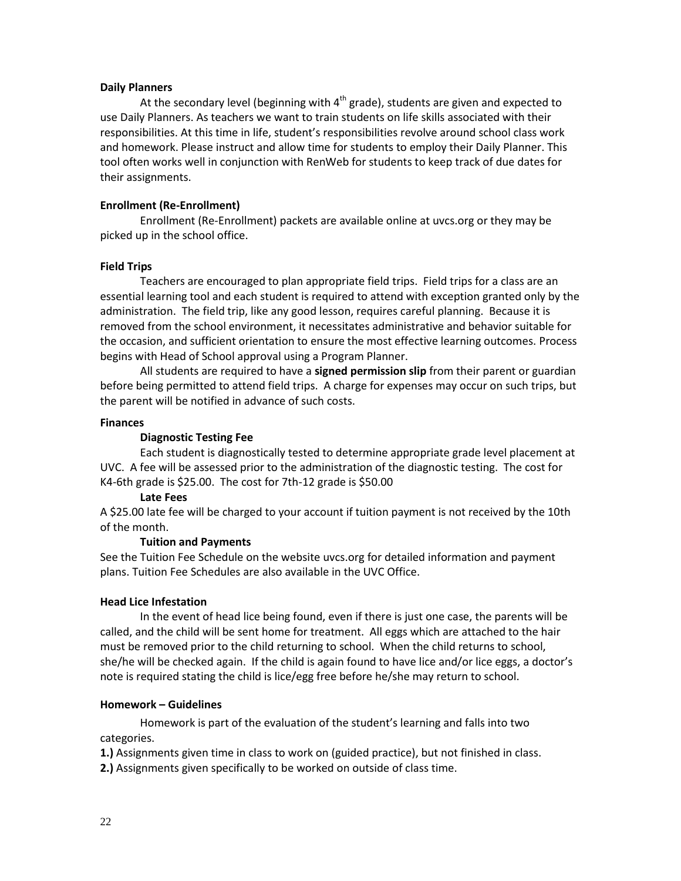#### **Daily Planners**

At the secondary level (beginning with  $4<sup>th</sup>$  grade), students are given and expected to use Daily Planners. As teachers we want to train students on life skills associated with their responsibilities. At this time in life, student's responsibilities revolve around school class work and homework. Please instruct and allow time for students to employ their Daily Planner. This tool often works well in conjunction with RenWeb for students to keep track of due dates for their assignments.

#### **Enrollment (Re-Enrollment)**

Enrollment (Re-Enrollment) packets are available online at uvcs.org or they may be picked up in the school office.

#### **Field Trips**

Teachers are encouraged to plan appropriate field trips. Field trips for a class are an essential learning tool and each student is required to attend with exception granted only by the administration. The field trip, like any good lesson, requires careful planning. Because it is removed from the school environment, it necessitates administrative and behavior suitable for the occasion, and sufficient orientation to ensure the most effective learning outcomes. Process begins with Head of School approval using a Program Planner.

All students are required to have a **signed permission slip** from their parent or guardian before being permitted to attend field trips. A charge for expenses may occur on such trips, but the parent will be notified in advance of such costs.

#### **Finances**

#### **Diagnostic Testing Fee**

Each student is diagnostically tested to determine appropriate grade level placement at UVC. A fee will be assessed prior to the administration of the diagnostic testing. The cost for K4-6th grade is \$25.00. The cost for 7th-12 grade is \$50.00

#### **Late Fees**

A \$25.00 late fee will be charged to your account if tuition payment is not received by the 10th of the month.

#### **Tuition and Payments**

See the Tuition Fee Schedule on the website uvcs.org for detailed information and payment plans. Tuition Fee Schedules are also available in the UVC Office.

#### **Head Lice Infestation**

In the event of head lice being found, even if there is just one case, the parents will be called, and the child will be sent home for treatment. All eggs which are attached to the hair must be removed prior to the child returning to school. When the child returns to school, she/he will be checked again. If the child is again found to have lice and/or lice eggs, a doctor's note is required stating the child is lice/egg free before he/she may return to school.

#### **Homework – Guidelines**

Homework is part of the evaluation of the student's learning and falls into two categories.

**1.)** Assignments given time in class to work on (guided practice), but not finished in class.

**2.)** Assignments given specifically to be worked on outside of class time.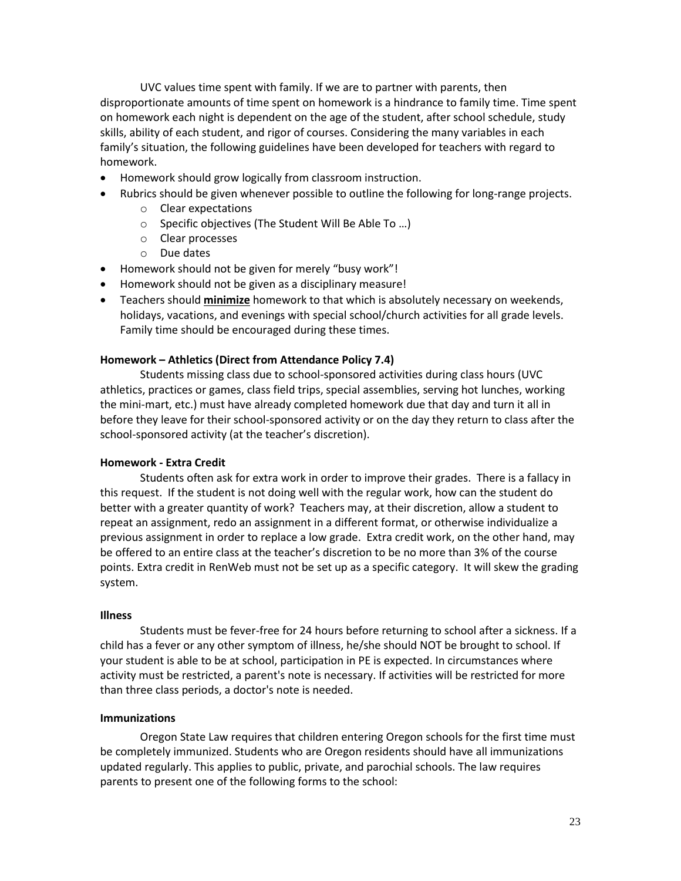UVC values time spent with family. If we are to partner with parents, then disproportionate amounts of time spent on homework is a hindrance to family time. Time spent on homework each night is dependent on the age of the student, after school schedule, study skills, ability of each student, and rigor of courses. Considering the many variables in each family's situation, the following guidelines have been developed for teachers with regard to homework.

- Homework should grow logically from classroom instruction.
- Rubrics should be given whenever possible to outline the following for long-range projects.
	- o Clear expectations
	- o Specific objectives (The Student Will Be Able To …)
	- o Clear processes
	- o Due dates
- Homework should not be given for merely "busy work"!
- Homework should not be given as a disciplinary measure!
- Teachers should **minimize** homework to that which is absolutely necessary on weekends, holidays, vacations, and evenings with special school/church activities for all grade levels. Family time should be encouraged during these times.

#### **Homework – Athletics (Direct from Attendance Policy 7.4)**

Students missing class due to school-sponsored activities during class hours (UVC athletics, practices or games, class field trips, special assemblies, serving hot lunches, working the mini-mart, etc.) must have already completed homework due that day and turn it all in before they leave for their school-sponsored activity or on the day they return to class after the school-sponsored activity (at the teacher's discretion).

# **Homework - Extra Credit**

Students often ask for extra work in order to improve their grades. There is a fallacy in this request. If the student is not doing well with the regular work, how can the student do better with a greater quantity of work? Teachers may, at their discretion, allow a student to repeat an assignment, redo an assignment in a different format, or otherwise individualize a previous assignment in order to replace a low grade. Extra credit work, on the other hand, may be offered to an entire class at the teacher's discretion to be no more than 3% of the course points. Extra credit in RenWeb must not be set up as a specific category. It will skew the grading system.

#### **Illness**

Students must be fever-free for 24 hours before returning to school after a sickness. If a child has a fever or any other symptom of illness, he/she should NOT be brought to school. If your student is able to be at school, participation in PE is expected. In circumstances where activity must be restricted, a parent's note is necessary. If activities will be restricted for more than three class periods, a doctor's note is needed.

#### **Immunizations**

Oregon State Law requires that children entering Oregon schools for the first time must be completely immunized. Students who are Oregon residents should have all immunizations updated regularly. This applies to public, private, and parochial schools. The law requires parents to present one of the following forms to the school: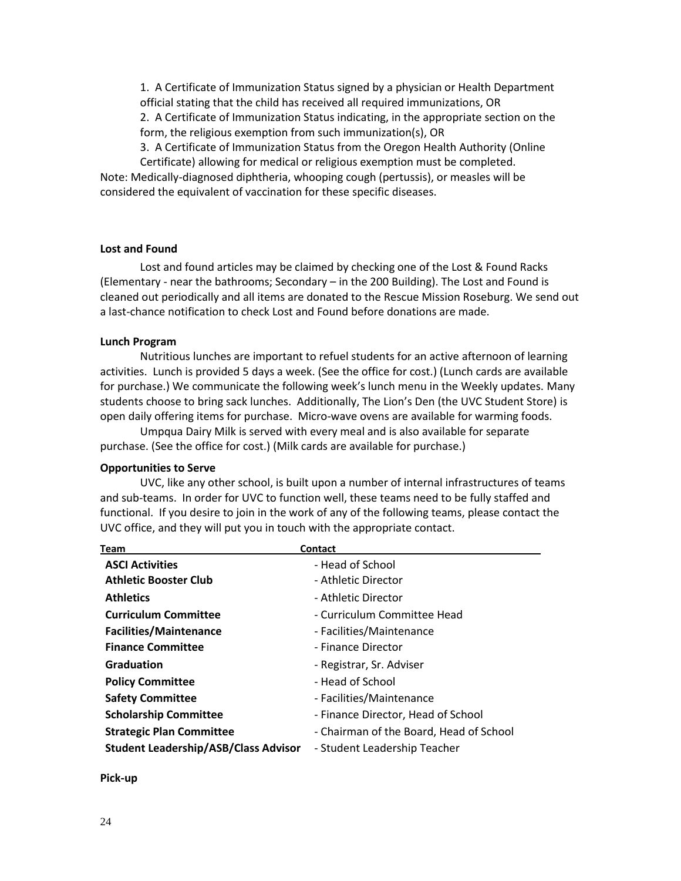1. A Certificate of Immunization Status signed by a physician or Health Department official stating that the child has received all required immunizations, OR

2. A Certificate of Immunization Status indicating, in the appropriate section on the form, the religious exemption from such immunization(s), OR

3. A Certificate of Immunization Status from the Oregon Health Authority (Online Certificate) allowing for medical or religious exemption must be completed.

Note: Medically-diagnosed diphtheria, whooping cough (pertussis), or measles will be considered the equivalent of vaccination for these specific diseases.

#### **Lost and Found**

Lost and found articles may be claimed by checking one of the Lost & Found Racks (Elementary - near the bathrooms; Secondary – in the 200 Building). The Lost and Found is cleaned out periodically and all items are donated to the Rescue Mission Roseburg. We send out a last-chance notification to check Lost and Found before donations are made.

#### **Lunch Program**

Nutritious lunches are important to refuel students for an active afternoon of learning activities. Lunch is provided 5 days a week. (See the office for cost.) (Lunch cards are available for purchase.) We communicate the following week's lunch menu in the Weekly updates. Many students choose to bring sack lunches. Additionally, The Lion's Den (the UVC Student Store) is open daily offering items for purchase. Micro-wave ovens are available for warming foods.

Umpqua Dairy Milk is served with every meal and is also available for separate purchase. (See the office for cost.) (Milk cards are available for purchase.)

#### **Opportunities to Serve**

UVC, like any other school, is built upon a number of internal infrastructures of teams and sub-teams. In order for UVC to function well, these teams need to be fully staffed and functional. If you desire to join in the work of any of the following teams, please contact the UVC office, and they will put you in touch with the appropriate contact.

| Team                                        | Contact                                 |
|---------------------------------------------|-----------------------------------------|
| <b>ASCI Activities</b>                      | - Head of School                        |
| <b>Athletic Booster Club</b>                | - Athletic Director                     |
| <b>Athletics</b>                            | - Athletic Director                     |
| <b>Curriculum Committee</b>                 | - Curriculum Committee Head             |
| <b>Facilities/Maintenance</b>               | - Facilities/Maintenance                |
| <b>Finance Committee</b>                    | - Finance Director                      |
| <b>Graduation</b>                           | - Registrar, Sr. Adviser                |
| <b>Policy Committee</b>                     | - Head of School                        |
| <b>Safety Committee</b>                     | - Facilities/Maintenance                |
| <b>Scholarship Committee</b>                | - Finance Director, Head of School      |
| <b>Strategic Plan Committee</b>             | - Chairman of the Board, Head of School |
| <b>Student Leadership/ASB/Class Advisor</b> | - Student Leadership Teacher            |

#### **Pick-up**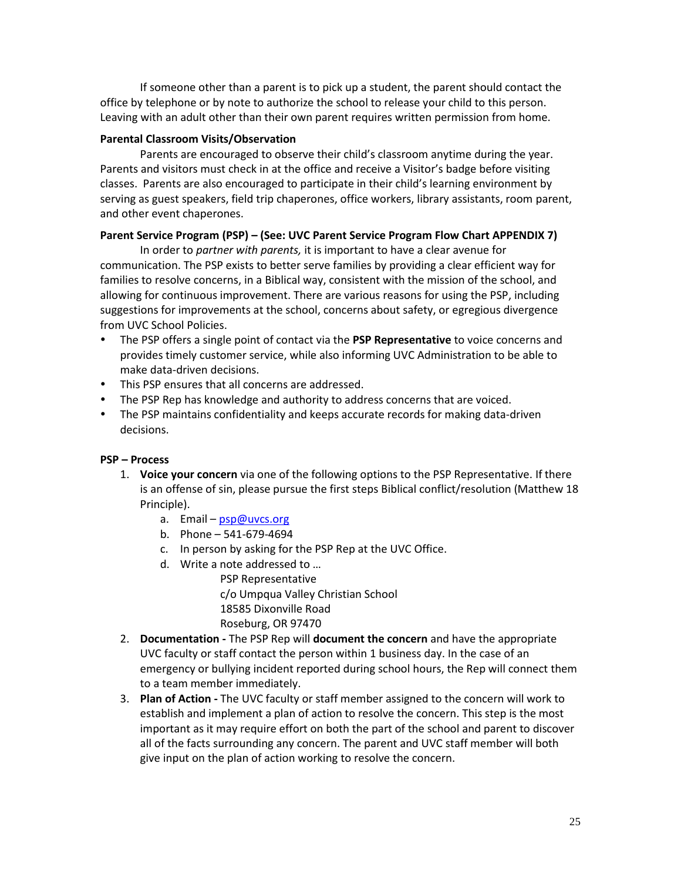If someone other than a parent is to pick up a student, the parent should contact the office by telephone or by note to authorize the school to release your child to this person. Leaving with an adult other than their own parent requires written permission from home.

# **Parental Classroom Visits/Observation**

Parents are encouraged to observe their child's classroom anytime during the year. Parents and visitors must check in at the office and receive a Visitor's badge before visiting classes. Parents are also encouraged to participate in their child's learning environment by serving as guest speakers, field trip chaperones, office workers, library assistants, room parent, and other event chaperones.

# **Parent Service Program (PSP) – (See: UVC Parent Service Program Flow Chart APPENDIX 7)**

In order to *partner with parents,* it is important to have a clear avenue for communication. The PSP exists to better serve families by providing a clear efficient way for families to resolve concerns, in a Biblical way, consistent with the mission of the school, and allowing for continuous improvement. There are various reasons for using the PSP, including suggestions for improvements at the school, concerns about safety, or egregious divergence from UVC School Policies.

- The PSP offers a single point of contact via the **PSP Representative** to voice concerns and provides timely customer service, while also informing UVC Administration to be able to make data-driven decisions.
- This PSP ensures that all concerns are addressed.
- The PSP Rep has knowledge and authority to address concerns that are voiced.
- The PSP maintains confidentiality and keeps accurate records for making data-driven decisions.

# **PSP – Process**

- 1. **Voice your concern** via one of the following options to the PSP Representative. If there is an offense of sin, please pursue the first steps Biblical conflict/resolution (Matthew 18 Principle).
	- a. Email [psp@uvcs.org](mailto:psp@uvcs.org)
	- b. Phone 541-679-4694
	- c. In person by asking for the PSP Rep at the UVC Office.
	- d. Write a note addressed to …
		- PSP Representative
			- c/o Umpqua Valley Christian School
			- 18585 Dixonville Road
		- Roseburg, OR 97470
- 2. **Documentation -** The PSP Rep will **document the concern** and have the appropriate UVC faculty or staff contact the person within 1 business day. In the case of an emergency or bullying incident reported during school hours, the Rep will connect them to a team member immediately.
- 3. **Plan of Action -** The UVC faculty or staff member assigned to the concern will work to establish and implement a plan of action to resolve the concern. This step is the most important as it may require effort on both the part of the school and parent to discover all of the facts surrounding any concern. The parent and UVC staff member will both give input on the plan of action working to resolve the concern.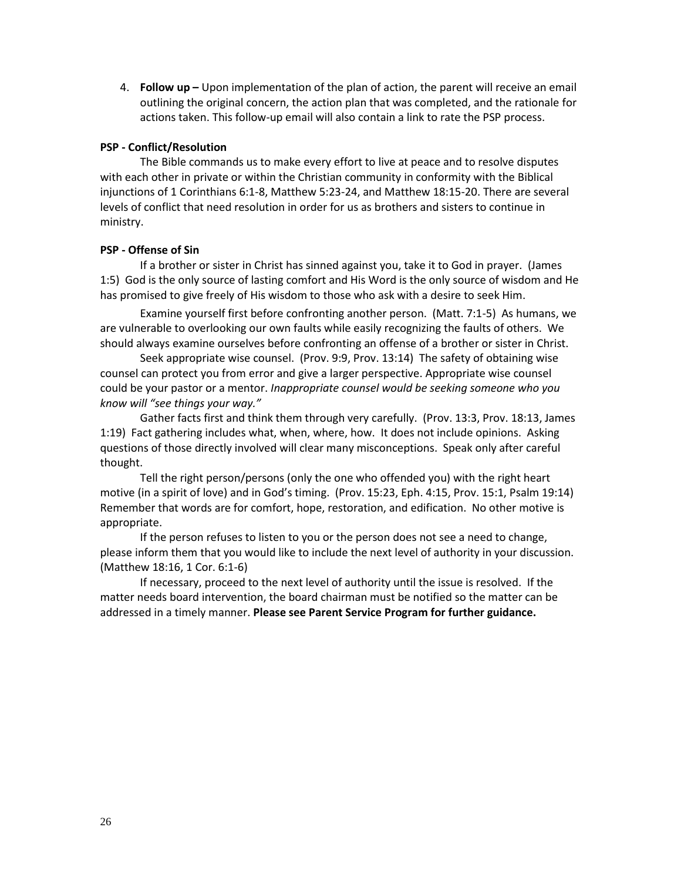4. **Follow up –** Upon implementation of the plan of action, the parent will receive an email outlining the original concern, the action plan that was completed, and the rationale for actions taken. This follow-up email will also contain a link to rate the PSP process.

# **PSP - Conflict/Resolution**

The Bible commands us to make every effort to live at peace and to resolve disputes with each other in private or within the Christian community in conformity with the Biblical injunctions of 1 Corinthians 6:1-8, Matthew 5:23-24, and Matthew 18:15-20. There are several levels of conflict that need resolution in order for us as brothers and sisters to continue in ministry.

# **PSP - Offense of Sin**

If a brother or sister in Christ has sinned against you, take it to God in prayer. (James 1:5) God is the only source of lasting comfort and His Word is the only source of wisdom and He has promised to give freely of His wisdom to those who ask with a desire to seek Him.

Examine yourself first before confronting another person. (Matt. 7:1-5) As humans, we are vulnerable to overlooking our own faults while easily recognizing the faults of others. We should always examine ourselves before confronting an offense of a brother or sister in Christ.

Seek appropriate wise counsel. (Prov. 9:9, Prov. 13:14) The safety of obtaining wise counsel can protect you from error and give a larger perspective. Appropriate wise counsel could be your pastor or a mentor. *Inappropriate counsel would be seeking someone who you know will "see things your way."* 

Gather facts first and think them through very carefully. (Prov. 13:3, Prov. 18:13, James 1:19) Fact gathering includes what, when, where, how. It does not include opinions. Asking questions of those directly involved will clear many misconceptions. Speak only after careful thought.

Tell the right person/persons (only the one who offended you) with the right heart motive (in a spirit of love) and in God's timing. (Prov. 15:23, Eph. 4:15, Prov. 15:1, Psalm 19:14) Remember that words are for comfort, hope, restoration, and edification. No other motive is appropriate.

If the person refuses to listen to you or the person does not see a need to change, please inform them that you would like to include the next level of authority in your discussion. (Matthew 18:16, 1 Cor. 6:1-6)

If necessary, proceed to the next level of authority until the issue is resolved. If the matter needs board intervention, the board chairman must be notified so the matter can be addressed in a timely manner. **Please see Parent Service Program for further guidance.**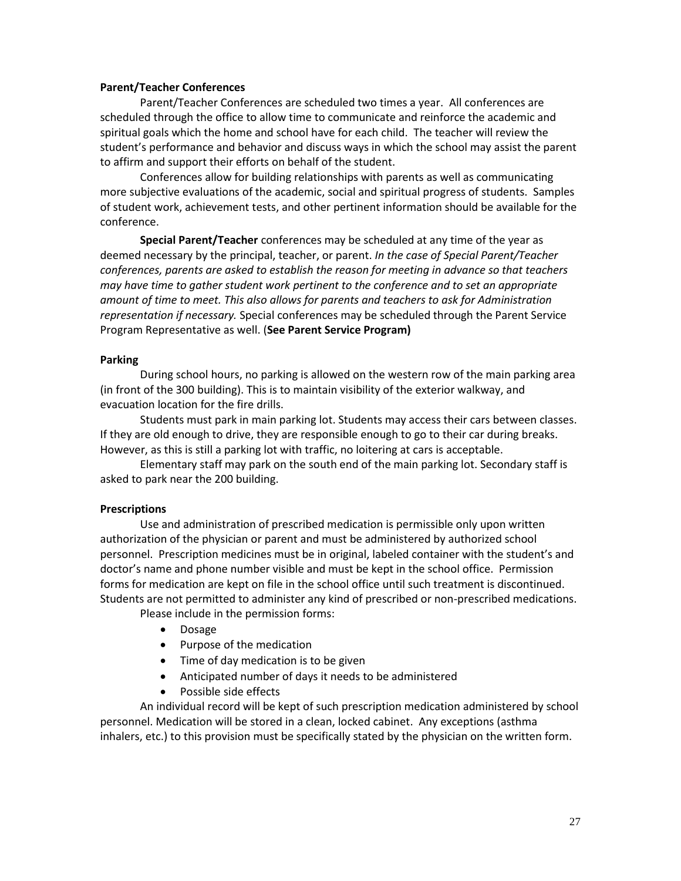# **Parent/Teacher Conferences**

Parent/Teacher Conferences are scheduled two times a year. All conferences are scheduled through the office to allow time to communicate and reinforce the academic and spiritual goals which the home and school have for each child. The teacher will review the student's performance and behavior and discuss ways in which the school may assist the parent to affirm and support their efforts on behalf of the student.

Conferences allow for building relationships with parents as well as communicating more subjective evaluations of the academic, social and spiritual progress of students. Samples of student work, achievement tests, and other pertinent information should be available for the conference.

**Special Parent/Teacher** conferences may be scheduled at any time of the year as deemed necessary by the principal, teacher, or parent. *In the case of Special Parent/Teacher conferences, parents are asked to establish the reason for meeting in advance so that teachers may have time to gather student work pertinent to the conference and to set an appropriate amount of time to meet. This also allows for parents and teachers to ask for Administration representation if necessary.* Special conferences may be scheduled through the Parent Service Program Representative as well. (**See Parent Service Program)**

#### **Parking**

During school hours, no parking is allowed on the western row of the main parking area (in front of the 300 building). This is to maintain visibility of the exterior walkway, and evacuation location for the fire drills.

Students must park in main parking lot. Students may access their cars between classes. If they are old enough to drive, they are responsible enough to go to their car during breaks. However, as this is still a parking lot with traffic, no loitering at cars is acceptable.

Elementary staff may park on the south end of the main parking lot. Secondary staff is asked to park near the 200 building.

#### **Prescriptions**

Use and administration of prescribed medication is permissible only upon written authorization of the physician or parent and must be administered by authorized school personnel. Prescription medicines must be in original, labeled container with the student's and doctor's name and phone number visible and must be kept in the school office. Permission forms for medication are kept on file in the school office until such treatment is discontinued. Students are not permitted to administer any kind of prescribed or non-prescribed medications.

Please include in the permission forms:

- Dosage
- Purpose of the medication
- Time of day medication is to be given
- Anticipated number of days it needs to be administered
- Possible side effects

An individual record will be kept of such prescription medication administered by school personnel. Medication will be stored in a clean, locked cabinet. Any exceptions (asthma inhalers, etc.) to this provision must be specifically stated by the physician on the written form.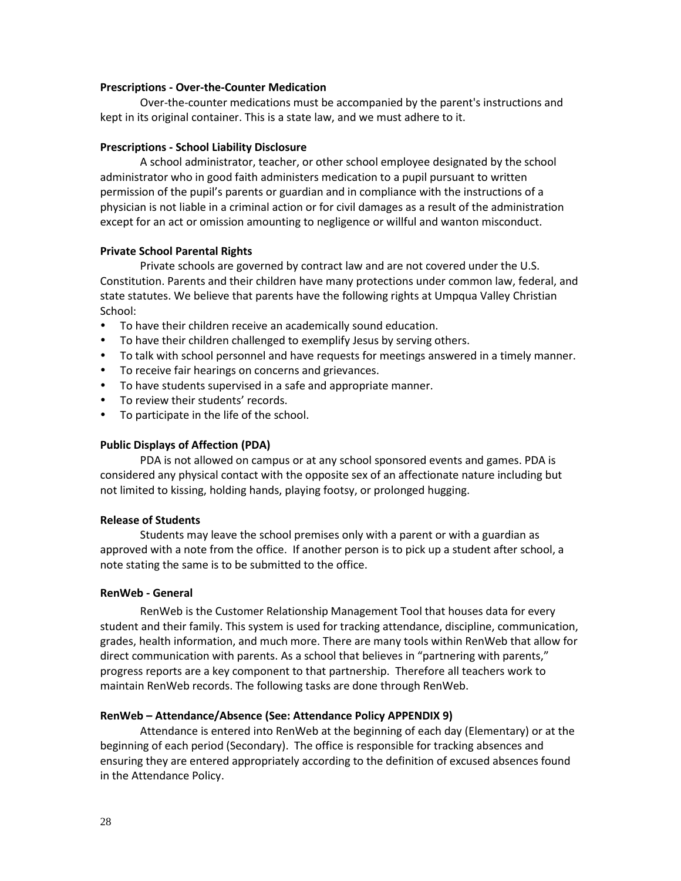#### **Prescriptions - Over-the-Counter Medication**

Over-the-counter medications must be accompanied by the parent's instructions and kept in its original container. This is a state law, and we must adhere to it.

#### **Prescriptions - School Liability Disclosure**

A school administrator, teacher, or other school employee designated by the school administrator who in good faith administers medication to a pupil pursuant to written permission of the pupil's parents or guardian and in compliance with the instructions of a physician is not liable in a criminal action or for civil damages as a result of the administration except for an act or omission amounting to negligence or willful and wanton misconduct.

#### **Private School Parental Rights**

Private schools are governed by contract law and are not covered under the U.S. Constitution. Parents and their children have many protections under common law, federal, and state statutes. We believe that parents have the following rights at Umpqua Valley Christian School:

- To have their children receive an academically sound education.
- To have their children challenged to exemplify Jesus by serving others.
- To talk with school personnel and have requests for meetings answered in a timely manner.
- To receive fair hearings on concerns and grievances.
- To have students supervised in a safe and appropriate manner.
- To review their students' records.
- To participate in the life of the school.

#### **Public Displays of Affection (PDA)**

PDA is not allowed on campus or at any school sponsored events and games. PDA is considered any physical contact with the opposite sex of an affectionate nature including but not limited to kissing, holding hands, playing footsy, or prolonged hugging.

#### **Release of Students**

Students may leave the school premises only with a parent or with a guardian as approved with a note from the office. If another person is to pick up a student after school, a note stating the same is to be submitted to the office.

#### **RenWeb - General**

RenWeb is the Customer Relationship Management Tool that houses data for every student and their family. This system is used for tracking attendance, discipline, communication, grades, health information, and much more. There are many tools within RenWeb that allow for direct communication with parents. As a school that believes in "partnering with parents," progress reports are a key component to that partnership. Therefore all teachers work to maintain RenWeb records. The following tasks are done through RenWeb.

### **RenWeb – Attendance/Absence (See: Attendance Policy APPENDIX 9)**

Attendance is entered into RenWeb at the beginning of each day (Elementary) or at the beginning of each period (Secondary). The office is responsible for tracking absences and ensuring they are entered appropriately according to the definition of excused absences found in the Attendance Policy.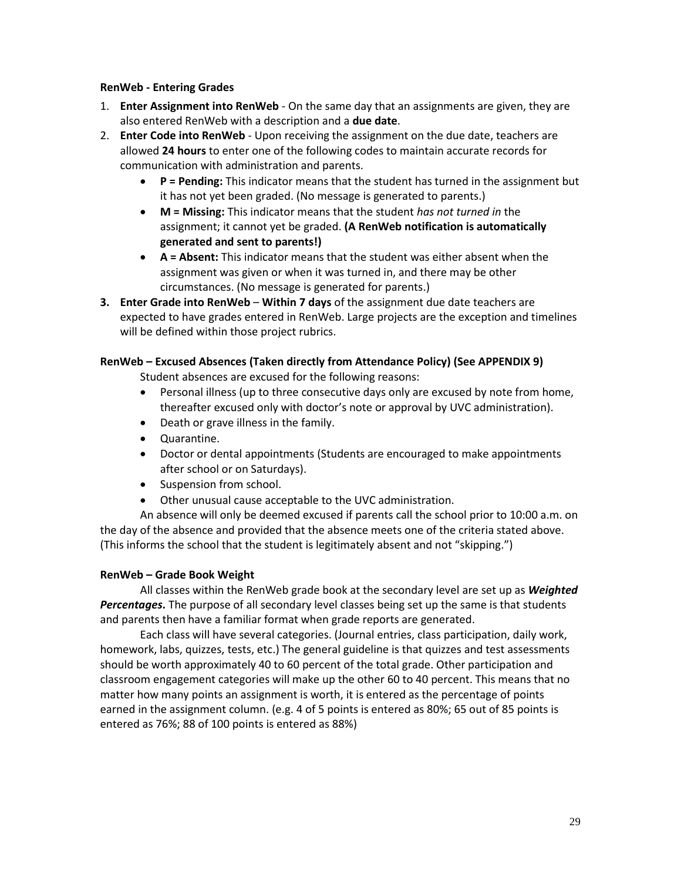# **RenWeb - Entering Grades**

- 1. **Enter Assignment into RenWeb** On the same day that an assignments are given, they are also entered RenWeb with a description and a **due date**.
- 2. **Enter Code into RenWeb** Upon receiving the assignment on the due date, teachers are allowed **24 hours** to enter one of the following codes to maintain accurate records for communication with administration and parents.
	- **P = Pending:** This indicator means that the student has turned in the assignment but it has not yet been graded. (No message is generated to parents.)
	- **M = Missing:** This indicator means that the student *has not turned in* the assignment; it cannot yet be graded. **(A RenWeb notification is automatically generated and sent to parents!)**
	- **A = Absent:** This indicator means that the student was either absent when the assignment was given or when it was turned in, and there may be other circumstances. (No message is generated for parents.)
- **3. Enter Grade into RenWeb Within 7 days** of the assignment due date teachers are expected to have grades entered in RenWeb. Large projects are the exception and timelines will be defined within those project rubrics.

# **RenWeb – Excused Absences (Taken directly from Attendance Policy) (See APPENDIX 9)**

Student absences are excused for the following reasons:

- Personal illness (up to three consecutive days only are excused by note from home, thereafter excused only with doctor's note or approval by UVC administration).
- Death or grave illness in the family.
- Quarantine.
- Doctor or dental appointments (Students are encouraged to make appointments after school or on Saturdays).
- Suspension from school.
- Other unusual cause acceptable to the UVC administration.

An absence will only be deemed excused if parents call the school prior to 10:00 a.m. on the day of the absence and provided that the absence meets one of the criteria stated above. (This informs the school that the student is legitimately absent and not "skipping.")

# **RenWeb – Grade Book Weight**

All classes within the RenWeb grade book at the secondary level are set up as *Weighted Percentages***.** The purpose of all secondary level classes being set up the same is that students and parents then have a familiar format when grade reports are generated.

Each class will have several categories. (Journal entries, class participation, daily work, homework, labs, quizzes, tests, etc.) The general guideline is that quizzes and test assessments should be worth approximately 40 to 60 percent of the total grade. Other participation and classroom engagement categories will make up the other 60 to 40 percent. This means that no matter how many points an assignment is worth, it is entered as the percentage of points earned in the assignment column. (e.g. 4 of 5 points is entered as 80%; 65 out of 85 points is entered as 76%; 88 of 100 points is entered as 88%)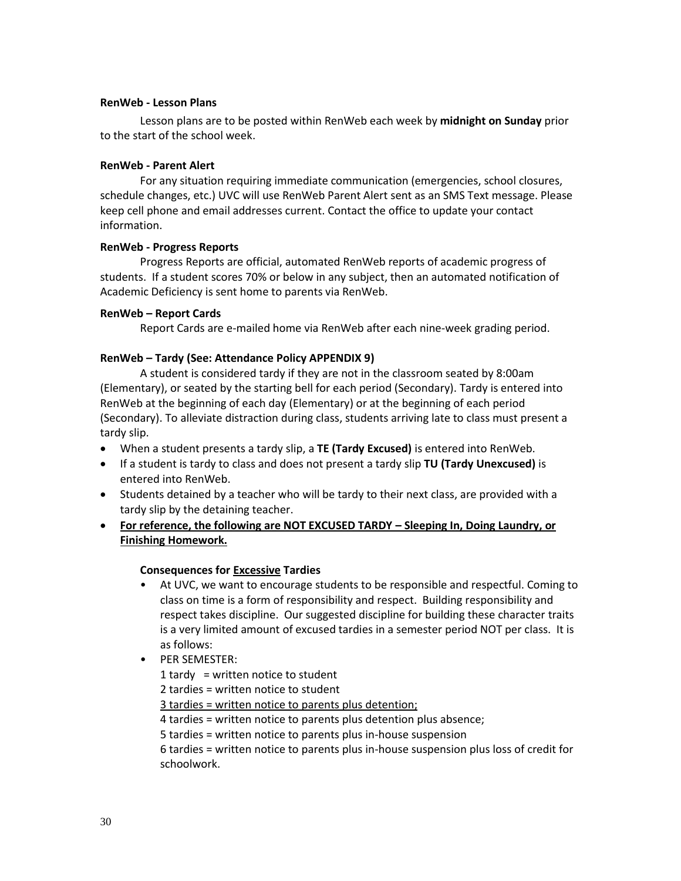### **RenWeb - Lesson Plans**

Lesson plans are to be posted within RenWeb each week by **midnight on Sunday** prior to the start of the school week.

# **RenWeb - Parent Alert**

For any situation requiring immediate communication (emergencies, school closures, schedule changes, etc.) UVC will use RenWeb Parent Alert sent as an SMS Text message. Please keep cell phone and email addresses current. Contact the office to update your contact information.

# **RenWeb - Progress Reports**

Progress Reports are official, automated RenWeb reports of academic progress of students. If a student scores 70% or below in any subject, then an automated notification of Academic Deficiency is sent home to parents via RenWeb.

# **RenWeb – Report Cards**

Report Cards are e-mailed home via RenWeb after each nine-week grading period.

# **RenWeb – Tardy (See: Attendance Policy APPENDIX 9)**

A student is considered tardy if they are not in the classroom seated by 8:00am (Elementary), or seated by the starting bell for each period (Secondary). Tardy is entered into RenWeb at the beginning of each day (Elementary) or at the beginning of each period (Secondary). To alleviate distraction during class, students arriving late to class must present a tardy slip.

- When a student presents a tardy slip, a **TE (Tardy Excused)** is entered into RenWeb.
- If a student is tardy to class and does not present a tardy slip **TU (Tardy Unexcused)** is entered into RenWeb.
- Students detained by a teacher who will be tardy to their next class, are provided with a tardy slip by the detaining teacher.
- **For reference, the following are NOT EXCUSED TARDY – Sleeping In, Doing Laundry, or Finishing Homework.**

# **Consequences for Excessive Tardies**

- At UVC, we want to encourage students to be responsible and respectful. Coming to class on time is a form of responsibility and respect. Building responsibility and respect takes discipline. Our suggested discipline for building these character traits is a very limited amount of excused tardies in a semester period NOT per class. It is as follows:
- PER SEMESTER:
	- 1 tardy = written notice to student
	- 2 tardies = written notice to student
	- 3 tardies = written notice to parents plus detention;
	- 4 tardies = written notice to parents plus detention plus absence;
	- 5 tardies = written notice to parents plus in-house suspension

6 tardies = written notice to parents plus in-house suspension plus loss of credit for schoolwork.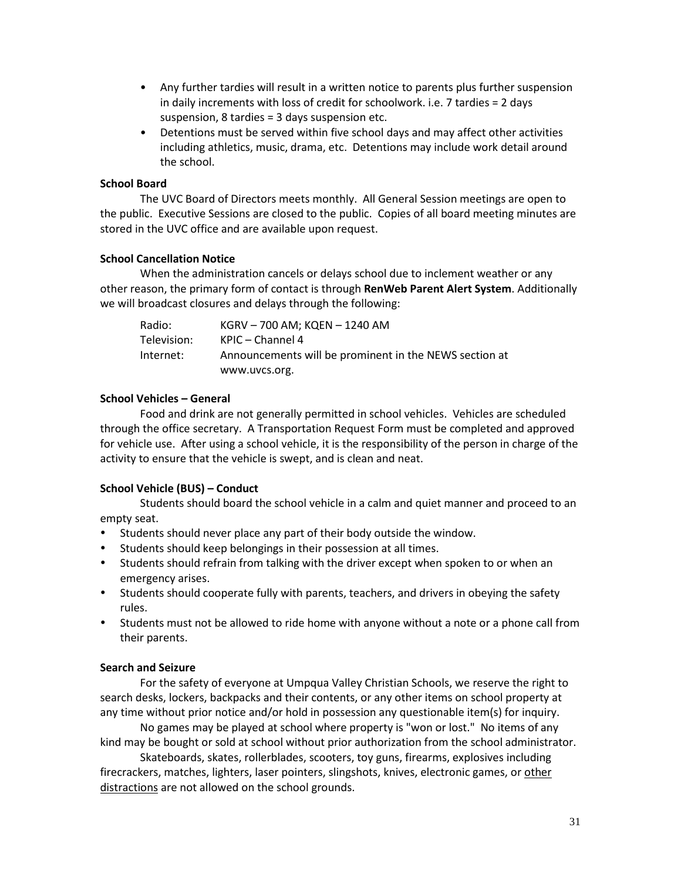- Any further tardies will result in a written notice to parents plus further suspension in daily increments with loss of credit for schoolwork. i.e. 7 tardies = 2 days suspension, 8 tardies = 3 days suspension etc.
- Detentions must be served within five school days and may affect other activities including athletics, music, drama, etc. Detentions may include work detail around the school.

# **School Board**

The UVC Board of Directors meets monthly. All General Session meetings are open to the public. Executive Sessions are closed to the public. Copies of all board meeting minutes are stored in the UVC office and are available upon request.

# **School Cancellation Notice**

When the administration cancels or delays school due to inclement weather or any other reason, the primary form of contact is through **RenWeb Parent Alert System**. Additionally we will broadcast closures and delays through the following:

| Radio:      | KGRV - 700 AM; KQEN - 1240 AM                          |
|-------------|--------------------------------------------------------|
| Television: | KPIC – Channel 4                                       |
| Internet:   | Announcements will be prominent in the NEWS section at |
|             | www.uvcs.org.                                          |

# **School Vehicles – General**

Food and drink are not generally permitted in school vehicles. Vehicles are scheduled through the office secretary. A Transportation Request Form must be completed and approved for vehicle use. After using a school vehicle, it is the responsibility of the person in charge of the activity to ensure that the vehicle is swept, and is clean and neat.

# **School Vehicle (BUS) – Conduct**

Students should board the school vehicle in a calm and quiet manner and proceed to an empty seat.

- Students should never place any part of their body outside the window.
- Students should keep belongings in their possession at all times.
- Students should refrain from talking with the driver except when spoken to or when an emergency arises.
- Students should cooperate fully with parents, teachers, and drivers in obeying the safety rules.
- Students must not be allowed to ride home with anyone without a note or a phone call from their parents.

#### **Search and Seizure**

For the safety of everyone at Umpqua Valley Christian Schools, we reserve the right to search desks, lockers, backpacks and their contents, or any other items on school property at any time without prior notice and/or hold in possession any questionable item(s) for inquiry.

No games may be played at school where property is "won or lost." No items of any kind may be bought or sold at school without prior authorization from the school administrator.

Skateboards, skates, rollerblades, scooters, toy guns, firearms, explosives including firecrackers, matches, lighters, laser pointers, slingshots, knives, electronic games, or other distractions are not allowed on the school grounds.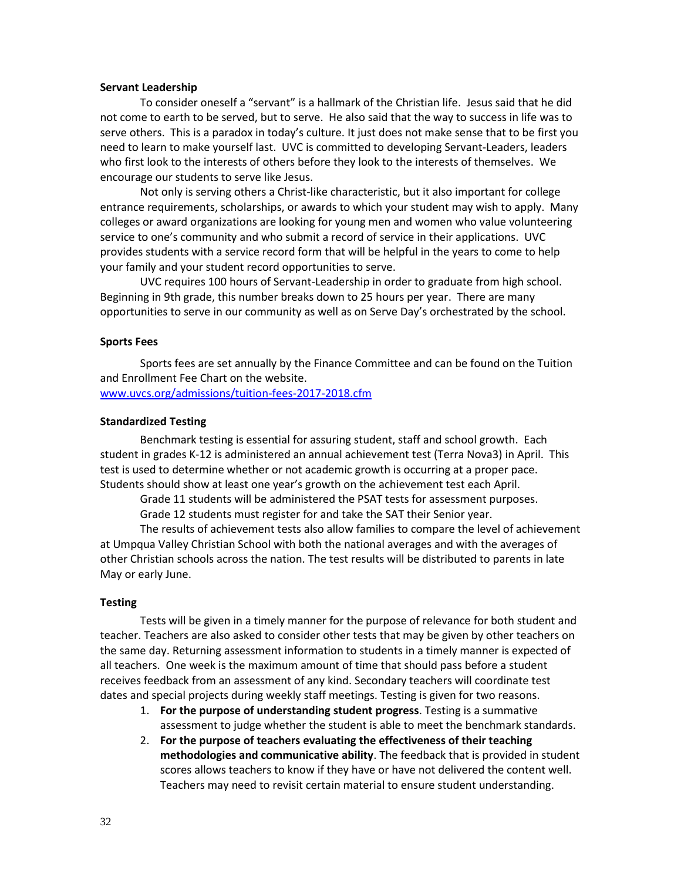#### **Servant Leadership**

To consider oneself a "servant" is a hallmark of the Christian life. Jesus said that he did not come to earth to be served, but to serve. He also said that the way to success in life was to serve others. This is a paradox in today's culture. It just does not make sense that to be first you need to learn to make yourself last. UVC is committed to developing Servant-Leaders, leaders who first look to the interests of others before they look to the interests of themselves. We encourage our students to serve like Jesus.

Not only is serving others a Christ-like characteristic, but it also important for college entrance requirements, scholarships, or awards to which your student may wish to apply. Many colleges or award organizations are looking for young men and women who value volunteering service to one's community and who submit a record of service in their applications. UVC provides students with a service record form that will be helpful in the years to come to help your family and your student record opportunities to serve.

UVC requires 100 hours of Servant-Leadership in order to graduate from high school. Beginning in 9th grade, this number breaks down to 25 hours per year. There are many opportunities to serve in our community as well as on Serve Day's orchestrated by the school.

#### **Sports Fees**

Sports fees are set annually by the Finance Committee and can be found on the Tuition and Enrollment Fee Chart on the website.

[www.uvcs.org/admissions/tuition-fees-2017-2018.cfm](http://www.uvcs.org/admissions/tuition-fees-2017-2018.cfm)

#### **Standardized Testing**

Benchmark testing is essential for assuring student, staff and school growth. Each student in grades K-12 is administered an annual achievement test (Terra Nova3) in April. This test is used to determine whether or not academic growth is occurring at a proper pace. Students should show at least one year's growth on the achievement test each April.

Grade 11 students will be administered the PSAT tests for assessment purposes.

Grade 12 students must register for and take the SAT their Senior year.

The results of achievement tests also allow families to compare the level of achievement at Umpqua Valley Christian School with both the national averages and with the averages of other Christian schools across the nation. The test results will be distributed to parents in late May or early June.

#### **Testing**

Tests will be given in a timely manner for the purpose of relevance for both student and teacher. Teachers are also asked to consider other tests that may be given by other teachers on the same day. Returning assessment information to students in a timely manner is expected of all teachers. One week is the maximum amount of time that should pass before a student receives feedback from an assessment of any kind. Secondary teachers will coordinate test dates and special projects during weekly staff meetings. Testing is given for two reasons.

- 1. **For the purpose of understanding student progress**. Testing is a summative assessment to judge whether the student is able to meet the benchmark standards.
- 2. **For the purpose of teachers evaluating the effectiveness of their teaching methodologies and communicative ability**. The feedback that is provided in student scores allows teachers to know if they have or have not delivered the content well. Teachers may need to revisit certain material to ensure student understanding.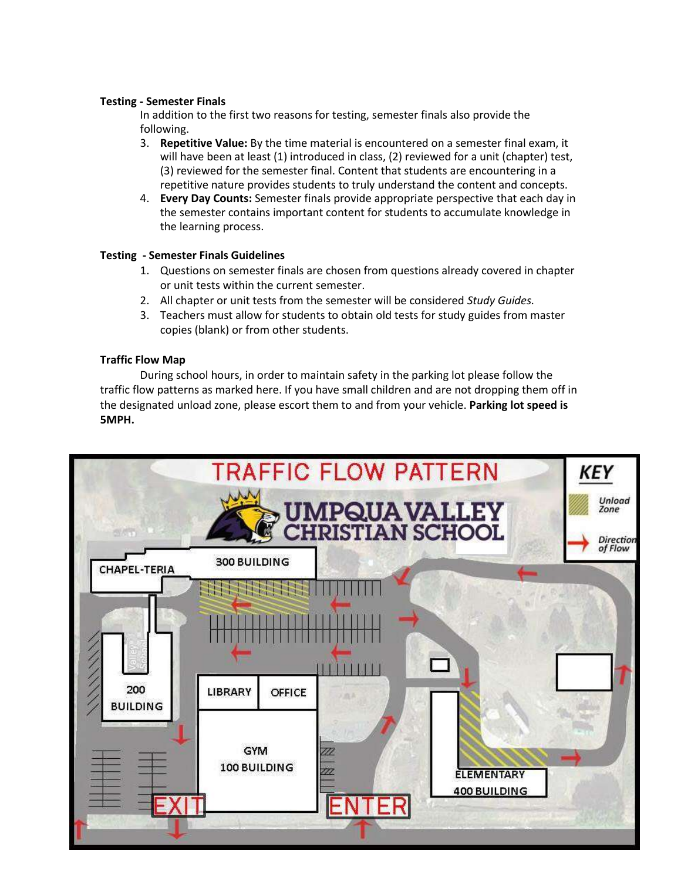# **Testing - Semester Finals**

In addition to the first two reasons for testing, semester finals also provide the following.

- 3. **Repetitive Value:** By the time material is encountered on a semester final exam, it will have been at least (1) introduced in class, (2) reviewed for a unit (chapter) test, (3) reviewed for the semester final. Content that students are encountering in a repetitive nature provides students to truly understand the content and concepts.
- 4. **Every Day Counts:** Semester finals provide appropriate perspective that each day in the semester contains important content for students to accumulate knowledge in the learning process.

# **Testing - Semester Finals Guidelines**

- 1. Questions on semester finals are chosen from questions already covered in chapter or unit tests within the current semester.
- 2. All chapter or unit tests from the semester will be considered *Study Guides.*
- 3. Teachers must allow for students to obtain old tests for study guides from master copies (blank) or from other students.

# **Traffic Flow Map**

During school hours, in order to maintain safety in the parking lot please follow the traffic flow patterns as marked here. If you have small children and are not dropping them off in the designated unload zone, please escort them to and from your vehicle. **Parking lot speed is 5MPH.** 

| 图图<br><b>CHAPEL-TERIA</b> | 300 BUILDING                                | <b>TRAFFIC FLOW PATTERN</b><br><b>UMPQUAVALLEY</b><br>CHRISTIAN SCHOOL | KEY<br>Unload<br>Zone<br>Direction<br>of Flow |
|---------------------------|---------------------------------------------|------------------------------------------------------------------------|-----------------------------------------------|
| 200<br><b>BUILDING</b>    | SECTION SECTION<br><b>LIBRARY</b><br>OFFICE |                                                                        |                                               |
|                           | <b>GYM</b><br>100 BUILDING                  | <b>ELEMENTARY</b><br>400 BUILDING<br><b>ENTER</b>                      |                                               |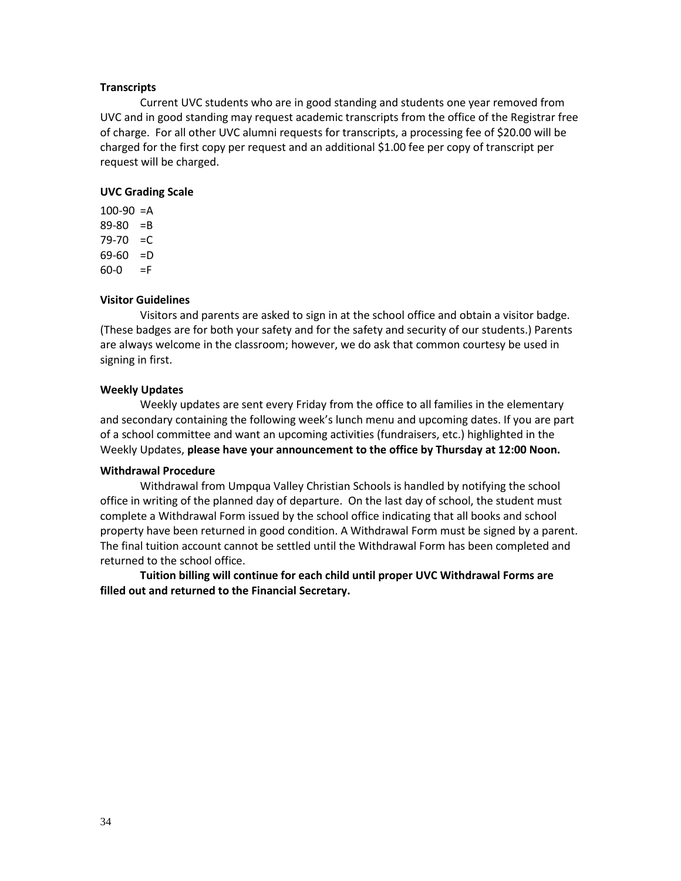### **Transcripts**

Current UVC students who are in good standing and students one year removed from UVC and in good standing may request academic transcripts from the office of the Registrar free of charge. For all other UVC alumni requests for transcripts, a processing fee of \$20.00 will be charged for the first copy per request and an additional \$1.00 fee per copy of transcript per request will be charged.

# **UVC Grading Scale**

 $100-90 = A$ 89-80 =B 79-70 =C  $69-60 = D$  $60-0 = F$ 

#### **Visitor Guidelines**

Visitors and parents are asked to sign in at the school office and obtain a visitor badge. (These badges are for both your safety and for the safety and security of our students.) Parents are always welcome in the classroom; however, we do ask that common courtesy be used in signing in first.

#### **Weekly Updates**

Weekly updates are sent every Friday from the office to all families in the elementary and secondary containing the following week's lunch menu and upcoming dates. If you are part of a school committee and want an upcoming activities (fundraisers, etc.) highlighted in the Weekly Updates, **please have your announcement to the office by Thursday at 12:00 Noon.**

# **Withdrawal Procedure**

Withdrawal from Umpqua Valley Christian Schools is handled by notifying the school office in writing of the planned day of departure. On the last day of school, the student must complete a Withdrawal Form issued by the school office indicating that all books and school property have been returned in good condition. A Withdrawal Form must be signed by a parent. The final tuition account cannot be settled until the Withdrawal Form has been completed and returned to the school office.

**Tuition billing will continue for each child until proper UVC Withdrawal Forms are filled out and returned to the Financial Secretary.**